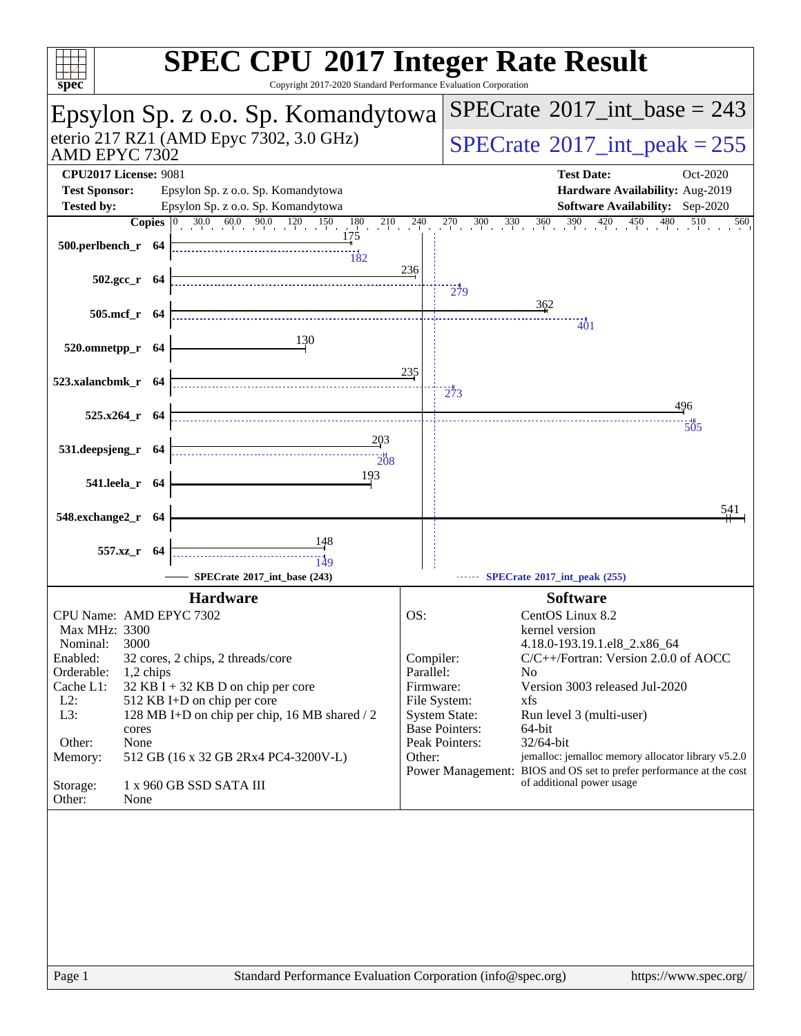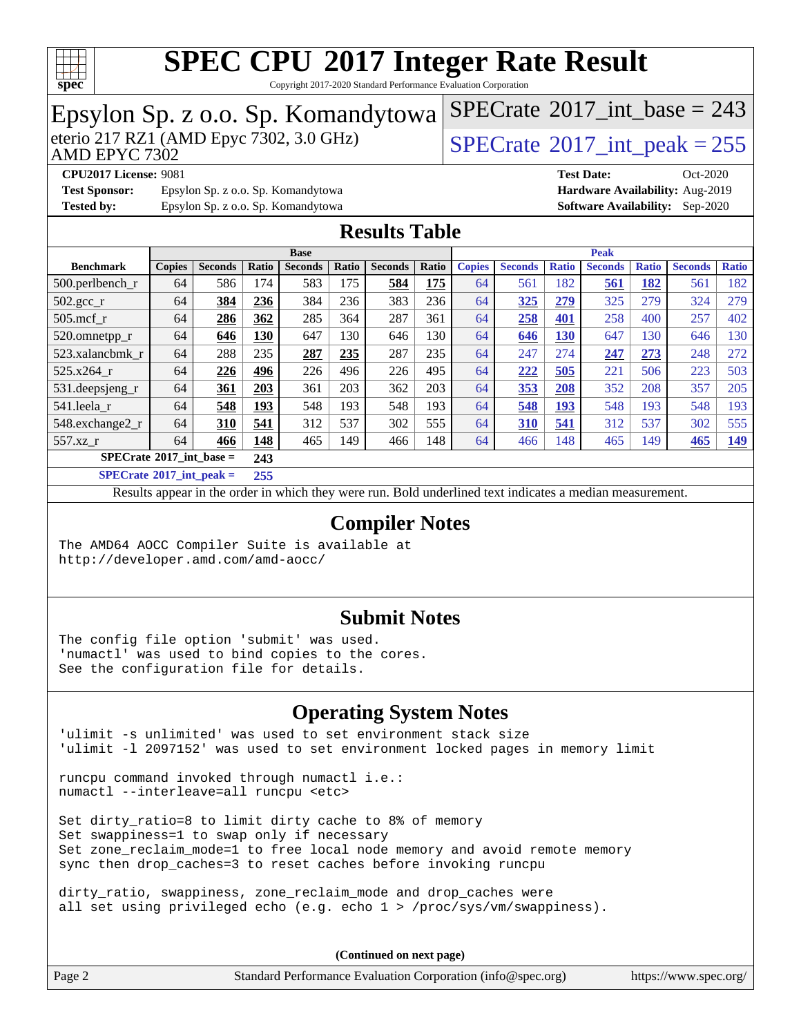

Copyright 2017-2020 Standard Performance Evaluation Corporation

#### Epsylon Sp. z o.o. Sp. Komandytowa<br>eterio 217 RZ1 (AMD Epyc 7302, 3.0 GHz) AMD EPYC 7302  $SPECTate$ <sup>®</sup>[2017\\_int\\_peak = 2](http://www.spec.org/auto/cpu2017/Docs/result-fields.html#SPECrate2017intpeak)55  $SPECTate$ <sup>®</sup>[2017\\_int\\_base =](http://www.spec.org/auto/cpu2017/Docs/result-fields.html#SPECrate2017intbase) 243 **[CPU2017 License:](http://www.spec.org/auto/cpu2017/Docs/result-fields.html#CPU2017License)** 9081 **[Test Date:](http://www.spec.org/auto/cpu2017/Docs/result-fields.html#TestDate)** Oct-2020 **[Test Sponsor:](http://www.spec.org/auto/cpu2017/Docs/result-fields.html#TestSponsor)** Epsylon Sp. z o.o. Sp. Komandytowa **[Hardware Availability:](http://www.spec.org/auto/cpu2017/Docs/result-fields.html#HardwareAvailability)** Aug-2019 **[Tested by:](http://www.spec.org/auto/cpu2017/Docs/result-fields.html#Testedby)** Epsylon Sp. z o.o. Sp. Komandytowa **[Software Availability:](http://www.spec.org/auto/cpu2017/Docs/result-fields.html#SoftwareAvailability)** Sep-2020 **[Results Table](http://www.spec.org/auto/cpu2017/Docs/result-fields.html#ResultsTable) [Benchmark](http://www.spec.org/auto/cpu2017/Docs/result-fields.html#Benchmark) [Copies](http://www.spec.org/auto/cpu2017/Docs/result-fields.html#Copies) [Seconds](http://www.spec.org/auto/cpu2017/Docs/result-fields.html#Seconds) [Ratio](http://www.spec.org/auto/cpu2017/Docs/result-fields.html#Ratio) [Seconds](http://www.spec.org/auto/cpu2017/Docs/result-fields.html#Seconds) [Ratio](http://www.spec.org/auto/cpu2017/Docs/result-fields.html#Ratio) [Seconds](http://www.spec.org/auto/cpu2017/Docs/result-fields.html#Seconds) [Ratio](http://www.spec.org/auto/cpu2017/Docs/result-fields.html#Ratio) Base [Copies](http://www.spec.org/auto/cpu2017/Docs/result-fields.html#Copies) [Seconds](http://www.spec.org/auto/cpu2017/Docs/result-fields.html#Seconds) [Ratio](http://www.spec.org/auto/cpu2017/Docs/result-fields.html#Ratio) [Seconds](http://www.spec.org/auto/cpu2017/Docs/result-fields.html#Seconds) [Ratio](http://www.spec.org/auto/cpu2017/Docs/result-fields.html#Ratio) [Seconds](http://www.spec.org/auto/cpu2017/Docs/result-fields.html#Seconds) [Ratio](http://www.spec.org/auto/cpu2017/Docs/result-fields.html#Ratio) Peak** [500.perlbench\\_r](http://www.spec.org/auto/cpu2017/Docs/benchmarks/500.perlbench_r.html) 64 586 174 583 175 **[584](http://www.spec.org/auto/cpu2017/Docs/result-fields.html#Median) [175](http://www.spec.org/auto/cpu2017/Docs/result-fields.html#Median)** 64 561 182 **[561](http://www.spec.org/auto/cpu2017/Docs/result-fields.html#Median) [182](http://www.spec.org/auto/cpu2017/Docs/result-fields.html#Median)** 561 182 [502.gcc\\_r](http://www.spec.org/auto/cpu2017/Docs/benchmarks/502.gcc_r.html) 64 **[384](http://www.spec.org/auto/cpu2017/Docs/result-fields.html#Median) [236](http://www.spec.org/auto/cpu2017/Docs/result-fields.html#Median)** 384 236 383 236 64 **[325](http://www.spec.org/auto/cpu2017/Docs/result-fields.html#Median) [279](http://www.spec.org/auto/cpu2017/Docs/result-fields.html#Median)** 325 279 324 279 [505.mcf\\_r](http://www.spec.org/auto/cpu2017/Docs/benchmarks/505.mcf_r.html) 64 **[286](http://www.spec.org/auto/cpu2017/Docs/result-fields.html#Median) [362](http://www.spec.org/auto/cpu2017/Docs/result-fields.html#Median)** 285 364 287 361 64 **[258](http://www.spec.org/auto/cpu2017/Docs/result-fields.html#Median) [401](http://www.spec.org/auto/cpu2017/Docs/result-fields.html#Median)** 258 400 257 402 [520.omnetpp\\_r](http://www.spec.org/auto/cpu2017/Docs/benchmarks/520.omnetpp_r.html) 64 **[646](http://www.spec.org/auto/cpu2017/Docs/result-fields.html#Median) [130](http://www.spec.org/auto/cpu2017/Docs/result-fields.html#Median)** 647 130 646 130 64 **[646](http://www.spec.org/auto/cpu2017/Docs/result-fields.html#Median) [130](http://www.spec.org/auto/cpu2017/Docs/result-fields.html#Median)** 647 130 646 130 [523.xalancbmk\\_r](http://www.spec.org/auto/cpu2017/Docs/benchmarks/523.xalancbmk_r.html) 64 288 235 **[287](http://www.spec.org/auto/cpu2017/Docs/result-fields.html#Median) [235](http://www.spec.org/auto/cpu2017/Docs/result-fields.html#Median)** 287 235 64 247 274 **[247](http://www.spec.org/auto/cpu2017/Docs/result-fields.html#Median) [273](http://www.spec.org/auto/cpu2017/Docs/result-fields.html#Median)** 248 272 [525.x264\\_r](http://www.spec.org/auto/cpu2017/Docs/benchmarks/525.x264_r.html) 64 **[226](http://www.spec.org/auto/cpu2017/Docs/result-fields.html#Median) [496](http://www.spec.org/auto/cpu2017/Docs/result-fields.html#Median)** 226 496 226 495 64 **[222](http://www.spec.org/auto/cpu2017/Docs/result-fields.html#Median) [505](http://www.spec.org/auto/cpu2017/Docs/result-fields.html#Median)** 221 506 223 503 [531.deepsjeng\\_r](http://www.spec.org/auto/cpu2017/Docs/benchmarks/531.deepsjeng_r.html) 64 **[361](http://www.spec.org/auto/cpu2017/Docs/result-fields.html#Median) [203](http://www.spec.org/auto/cpu2017/Docs/result-fields.html#Median)** 361 203 362 203 64 **[353](http://www.spec.org/auto/cpu2017/Docs/result-fields.html#Median) [208](http://www.spec.org/auto/cpu2017/Docs/result-fields.html#Median)** 352 208 357 205 [541.leela\\_r](http://www.spec.org/auto/cpu2017/Docs/benchmarks/541.leela_r.html) 64 **[548](http://www.spec.org/auto/cpu2017/Docs/result-fields.html#Median) [193](http://www.spec.org/auto/cpu2017/Docs/result-fields.html#Median)** 548 193 548 193 64 **[548](http://www.spec.org/auto/cpu2017/Docs/result-fields.html#Median) [193](http://www.spec.org/auto/cpu2017/Docs/result-fields.html#Median)** 548 193 548 193 [548.exchange2\\_r](http://www.spec.org/auto/cpu2017/Docs/benchmarks/548.exchange2_r.html) 64 **[310](http://www.spec.org/auto/cpu2017/Docs/result-fields.html#Median) [541](http://www.spec.org/auto/cpu2017/Docs/result-fields.html#Median)** 312 537 302 555 64 **[310](http://www.spec.org/auto/cpu2017/Docs/result-fields.html#Median) [541](http://www.spec.org/auto/cpu2017/Docs/result-fields.html#Median)** 312 537 302 555 [557.xz\\_r](http://www.spec.org/auto/cpu2017/Docs/benchmarks/557.xz_r.html) 64 **[466](http://www.spec.org/auto/cpu2017/Docs/result-fields.html#Median) [148](http://www.spec.org/auto/cpu2017/Docs/result-fields.html#Median)** 465 149 466 148 64 466 148 465 149 **[465](http://www.spec.org/auto/cpu2017/Docs/result-fields.html#Median) [149](http://www.spec.org/auto/cpu2017/Docs/result-fields.html#Median) [SPECrate](http://www.spec.org/auto/cpu2017/Docs/result-fields.html#SPECrate2017intbase)[2017\\_int\\_base =](http://www.spec.org/auto/cpu2017/Docs/result-fields.html#SPECrate2017intbase) 243 [SPECrate](http://www.spec.org/auto/cpu2017/Docs/result-fields.html#SPECrate2017intpeak)[2017\\_int\\_peak =](http://www.spec.org/auto/cpu2017/Docs/result-fields.html#SPECrate2017intpeak) 255** Results appear in the [order in which they were run](http://www.spec.org/auto/cpu2017/Docs/result-fields.html#RunOrder). Bold underlined text [indicates a median measurement](http://www.spec.org/auto/cpu2017/Docs/result-fields.html#Median). **[Compiler Notes](http://www.spec.org/auto/cpu2017/Docs/result-fields.html#CompilerNotes)** The AMD64 AOCC Compiler Suite is available at

<http://developer.amd.com/amd-aocc/>

#### **[Submit Notes](http://www.spec.org/auto/cpu2017/Docs/result-fields.html#SubmitNotes)**

The config file option 'submit' was used. 'numactl' was used to bind copies to the cores. See the configuration file for details.

#### **[Operating System Notes](http://www.spec.org/auto/cpu2017/Docs/result-fields.html#OperatingSystemNotes)**

'ulimit -s unlimited' was used to set environment stack size 'ulimit -l 2097152' was used to set environment locked pages in memory limit

runcpu command invoked through numactl i.e.: numactl --interleave=all runcpu <etc>

Set dirty\_ratio=8 to limit dirty cache to 8% of memory Set swappiness=1 to swap only if necessary Set zone\_reclaim\_mode=1 to free local node memory and avoid remote memory sync then drop\_caches=3 to reset caches before invoking runcpu

dirty\_ratio, swappiness, zone\_reclaim\_mode and drop\_caches were all set using privileged echo (e.g. echo 1 > /proc/sys/vm/swappiness).

**(Continued on next page)**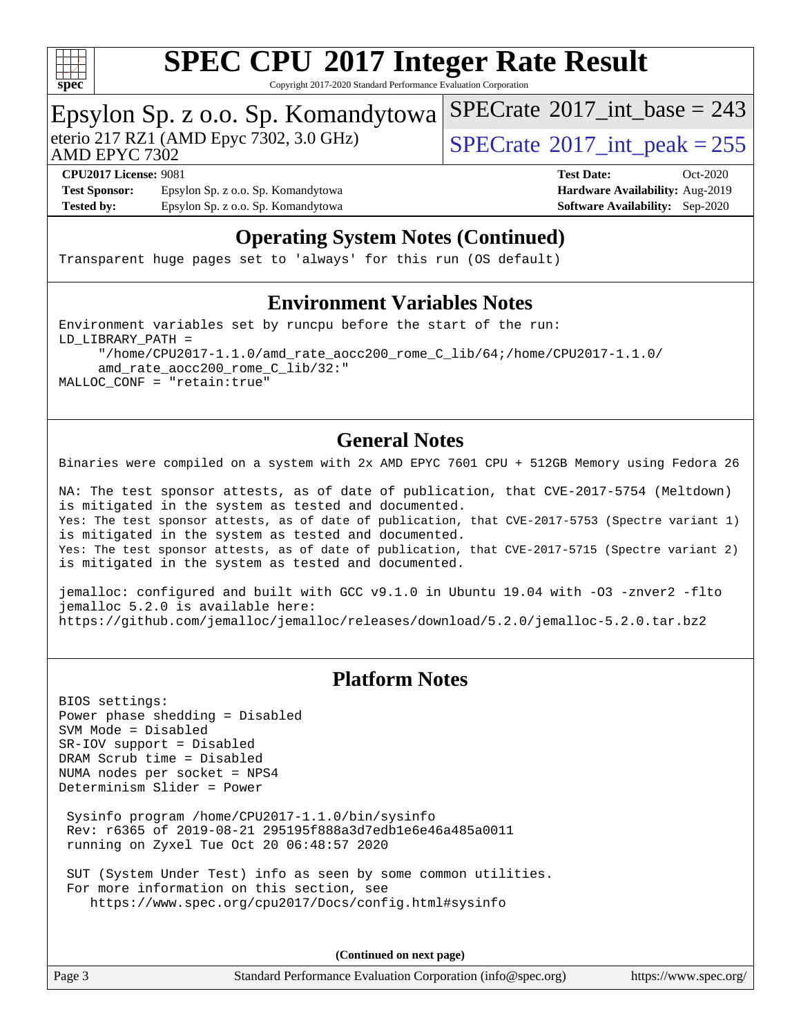

Copyright 2017-2020 Standard Performance Evaluation Corporation

# Epsylon Sp. z o.o. Sp. Komandytowa<br>eterio 217 RZ1 (AMD Epyc 7302, 3.0 GHz)

AMD EPYC 7302

 $SPECTate$ <sup>®</sup>[2017\\_int\\_peak = 2](http://www.spec.org/auto/cpu2017/Docs/result-fields.html#SPECrate2017intpeak)55

 $SPECTate$ <sup>®</sup>[2017\\_int\\_base =](http://www.spec.org/auto/cpu2017/Docs/result-fields.html#SPECrate2017intbase) 243

**[Test Sponsor:](http://www.spec.org/auto/cpu2017/Docs/result-fields.html#TestSponsor)** Epsylon Sp. z o.o. Sp. Komandytowa **[Hardware Availability:](http://www.spec.org/auto/cpu2017/Docs/result-fields.html#HardwareAvailability)** Aug-2019 **[Tested by:](http://www.spec.org/auto/cpu2017/Docs/result-fields.html#Testedby)** Epsylon Sp. z o.o. Sp. Komandytowa **[Software Availability:](http://www.spec.org/auto/cpu2017/Docs/result-fields.html#SoftwareAvailability)** Sep-2020

**[CPU2017 License:](http://www.spec.org/auto/cpu2017/Docs/result-fields.html#CPU2017License)** 9081 **[Test Date:](http://www.spec.org/auto/cpu2017/Docs/result-fields.html#TestDate)** Oct-2020

#### **[Operating System Notes \(Continued\)](http://www.spec.org/auto/cpu2017/Docs/result-fields.html#OperatingSystemNotes)**

Transparent huge pages set to 'always' for this run (OS default)

#### **[Environment Variables Notes](http://www.spec.org/auto/cpu2017/Docs/result-fields.html#EnvironmentVariablesNotes)**

Environment variables set by runcpu before the start of the run: LD\_LIBRARY\_PATH = "/home/CPU2017-1.1.0/amd\_rate\_aocc200\_rome\_C\_lib/64;/home/CPU2017-1.1.0/ amd\_rate\_aocc200\_rome\_C\_lib/32:" MALLOC\_CONF = "retain:true"

#### **[General Notes](http://www.spec.org/auto/cpu2017/Docs/result-fields.html#GeneralNotes)**

Binaries were compiled on a system with 2x AMD EPYC 7601 CPU + 512GB Memory using Fedora 26

NA: The test sponsor attests, as of date of publication, that CVE-2017-5754 (Meltdown) is mitigated in the system as tested and documented. Yes: The test sponsor attests, as of date of publication, that CVE-2017-5753 (Spectre variant 1) is mitigated in the system as tested and documented. Yes: The test sponsor attests, as of date of publication, that CVE-2017-5715 (Spectre variant 2) is mitigated in the system as tested and documented.

jemalloc: configured and built with GCC v9.1.0 in Ubuntu 19.04 with -O3 -znver2 -flto jemalloc 5.2.0 is available here: <https://github.com/jemalloc/jemalloc/releases/download/5.2.0/jemalloc-5.2.0.tar.bz2>

#### **[Platform Notes](http://www.spec.org/auto/cpu2017/Docs/result-fields.html#PlatformNotes)**

BIOS settings: Power phase shedding = Disabled SVM Mode = Disabled SR-IOV support = Disabled DRAM Scrub time = Disabled NUMA nodes per socket = NPS4 Determinism Slider = Power

 Sysinfo program /home/CPU2017-1.1.0/bin/sysinfo Rev: r6365 of 2019-08-21 295195f888a3d7edb1e6e46a485a0011 running on Zyxel Tue Oct 20 06:48:57 2020

 SUT (System Under Test) info as seen by some common utilities. For more information on this section, see <https://www.spec.org/cpu2017/Docs/config.html#sysinfo>

**(Continued on next page)**

Page 3 Standard Performance Evaluation Corporation [\(info@spec.org\)](mailto:info@spec.org) <https://www.spec.org/>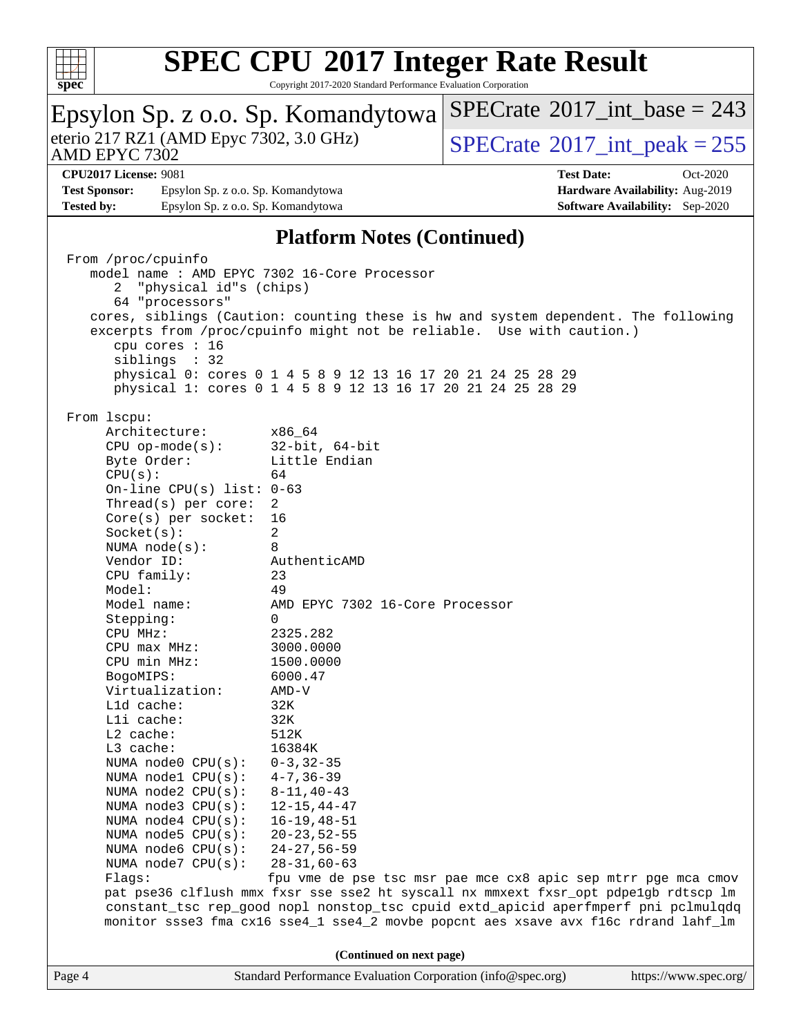

 $SPECrate$ <sup>®</sup>[2017\\_int\\_base =](http://www.spec.org/auto/cpu2017/Docs/result-fields.html#SPECrate2017intbase) 243

Copyright 2017-2020 Standard Performance Evaluation Corporation

Epsylon Sp. z o.o. Sp. Komandytowa

| eterio 217 RZ1 (AMD Epyc 7302, 3.0 GHz)<br>AMD EPYC 7302 |                                              |                                                                                     | $SPECTate$ <sup>®</sup> 2017_int_peak = 255 |                                        |  |  |  |
|----------------------------------------------------------|----------------------------------------------|-------------------------------------------------------------------------------------|---------------------------------------------|----------------------------------------|--|--|--|
|                                                          | <b>CPU2017 License: 9081</b>                 |                                                                                     | <b>Test Date:</b>                           | $Oct-2020$                             |  |  |  |
| <b>Test Sponsor:</b>                                     | Epsylon Sp. z o.o. Sp. Komandytowa           |                                                                                     |                                             | Hardware Availability: Aug-2019        |  |  |  |
| <b>Tested by:</b>                                        | Epsylon Sp. z o.o. Sp. Komandytowa           |                                                                                     |                                             | <b>Software Availability:</b> Sep-2020 |  |  |  |
|                                                          |                                              |                                                                                     |                                             |                                        |  |  |  |
|                                                          |                                              | <b>Platform Notes (Continued)</b>                                                   |                                             |                                        |  |  |  |
|                                                          | From /proc/cpuinfo                           |                                                                                     |                                             |                                        |  |  |  |
|                                                          | model name : AMD EPYC 7302 16-Core Processor |                                                                                     |                                             |                                        |  |  |  |
|                                                          | "physical id"s (chips)<br>2                  |                                                                                     |                                             |                                        |  |  |  |
|                                                          | 64 "processors"                              | cores, siblings (Caution: counting these is hw and system dependent. The following  |                                             |                                        |  |  |  |
|                                                          |                                              | excerpts from /proc/cpuinfo might not be reliable. Use with caution.)               |                                             |                                        |  |  |  |
|                                                          | cpu cores : 16                               |                                                                                     |                                             |                                        |  |  |  |
|                                                          | siblings : 32                                |                                                                                     |                                             |                                        |  |  |  |
|                                                          |                                              | physical 0: cores 0 1 4 5 8 9 12 13 16 17 20 21 24 25 28 29                         |                                             |                                        |  |  |  |
|                                                          |                                              | physical 1: cores 0 1 4 5 8 9 12 13 16 17 20 21 24 25 28 29                         |                                             |                                        |  |  |  |
|                                                          |                                              |                                                                                     |                                             |                                        |  |  |  |
|                                                          | From lscpu:                                  |                                                                                     |                                             |                                        |  |  |  |
|                                                          | Architecture:<br>$CPU$ op-mode( $s$ ):       | x86 64<br>$32$ -bit, $64$ -bit                                                      |                                             |                                        |  |  |  |
|                                                          | Byte Order:                                  | Little Endian                                                                       |                                             |                                        |  |  |  |
|                                                          | CPU(s):                                      | 64                                                                                  |                                             |                                        |  |  |  |
|                                                          | On-line CPU(s) list: $0-63$                  |                                                                                     |                                             |                                        |  |  |  |
|                                                          | Thread(s) per core:                          | 2                                                                                   |                                             |                                        |  |  |  |
|                                                          | $Core(s)$ per socket:                        | 16                                                                                  |                                             |                                        |  |  |  |
|                                                          | Socket(s):                                   | 2                                                                                   |                                             |                                        |  |  |  |
|                                                          | NUMA $node(s):$                              | 8                                                                                   |                                             |                                        |  |  |  |
|                                                          | Vendor ID:                                   | AuthenticAMD<br>23                                                                  |                                             |                                        |  |  |  |
|                                                          | CPU family:<br>Model:                        | 49                                                                                  |                                             |                                        |  |  |  |
|                                                          | Model name:                                  | AMD EPYC 7302 16-Core Processor                                                     |                                             |                                        |  |  |  |
|                                                          | Stepping:                                    | 0                                                                                   |                                             |                                        |  |  |  |
|                                                          | CPU MHz:                                     | 2325.282                                                                            |                                             |                                        |  |  |  |
|                                                          | $CPU$ max $MHz$ :                            | 3000.0000                                                                           |                                             |                                        |  |  |  |
|                                                          | CPU min MHz:                                 | 1500.0000                                                                           |                                             |                                        |  |  |  |
|                                                          | BogoMIPS:                                    | 6000.47                                                                             |                                             |                                        |  |  |  |
|                                                          | Virtualization:                              | $AMD-V$                                                                             |                                             |                                        |  |  |  |
|                                                          | L1d cache:<br>Lli cache:                     | 32K<br>32K                                                                          |                                             |                                        |  |  |  |
|                                                          | L2 cache:                                    | 512K                                                                                |                                             |                                        |  |  |  |
|                                                          | L3 cache:                                    | 16384K                                                                              |                                             |                                        |  |  |  |
|                                                          | NUMA node0 CPU(s):                           | $0 - 3, 32 - 35$                                                                    |                                             |                                        |  |  |  |
|                                                          | NUMA nodel CPU(s):                           | $4 - 7, 36 - 39$                                                                    |                                             |                                        |  |  |  |
|                                                          | NUMA $node2$ $CPU(s):$                       | $8 - 11, 40 - 43$                                                                   |                                             |                                        |  |  |  |
|                                                          | NUMA node3 CPU(s):                           | $12 - 15, 44 - 47$                                                                  |                                             |                                        |  |  |  |
|                                                          | NUMA node4 CPU(s):                           | $16 - 19, 48 - 51$                                                                  |                                             |                                        |  |  |  |
|                                                          | NUMA node5 CPU(s):                           | $20 - 23, 52 - 55$<br>$24 - 27, 56 - 59$                                            |                                             |                                        |  |  |  |
|                                                          | NUMA node6 CPU(s):<br>NUMA node7 CPU(s):     | $28 - 31, 60 - 63$                                                                  |                                             |                                        |  |  |  |
|                                                          | Flags:                                       | fpu vme de pse tsc msr pae mce cx8 apic sep mtrr pge mca cmov                       |                                             |                                        |  |  |  |
|                                                          |                                              | pat pse36 clflush mmx fxsr sse sse2 ht syscall nx mmxext fxsr_opt pdpe1gb rdtscp lm |                                             |                                        |  |  |  |
|                                                          |                                              | constant_tsc rep_good nopl nonstop_tsc cpuid extd_apicid aperfmperf pni pclmulqdq   |                                             |                                        |  |  |  |
|                                                          |                                              | monitor ssse3 fma cx16 sse4_1 sse4_2 movbe popcnt aes xsave avx f16c rdrand lahf_lm |                                             |                                        |  |  |  |
| (Continued on next page)                                 |                                              |                                                                                     |                                             |                                        |  |  |  |
| Page 4                                                   |                                              | Standard Performance Evaluation Corporation (info@spec.org)                         |                                             | https://www.spec.org/                  |  |  |  |
|                                                          |                                              |                                                                                     |                                             |                                        |  |  |  |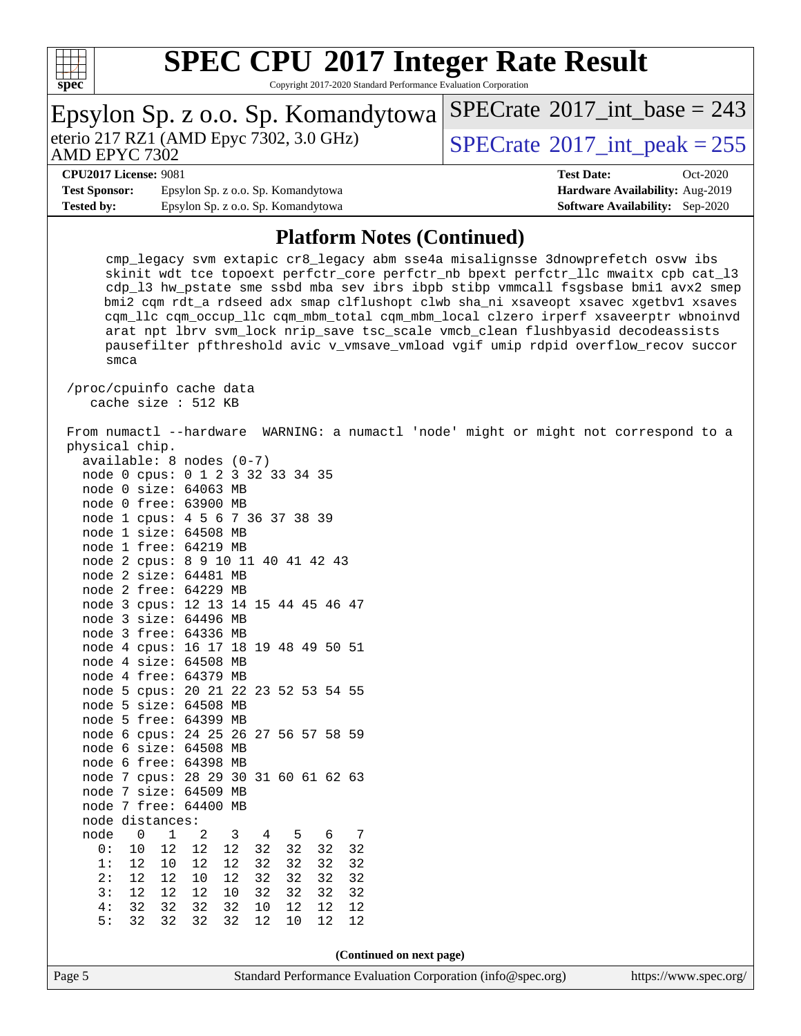

| Epsylon Sp. z o.o. Sp. Komandytowa                                                                                                                                                                                                                                                                                                                                                                                                                                                                                                                                                                                                                                                                                                                                                                                                                                                                                                                                                                                                                                              | $SPECrate^{\circledast}2017\_int\_base = 243$ |  |  |  |  |
|---------------------------------------------------------------------------------------------------------------------------------------------------------------------------------------------------------------------------------------------------------------------------------------------------------------------------------------------------------------------------------------------------------------------------------------------------------------------------------------------------------------------------------------------------------------------------------------------------------------------------------------------------------------------------------------------------------------------------------------------------------------------------------------------------------------------------------------------------------------------------------------------------------------------------------------------------------------------------------------------------------------------------------------------------------------------------------|-----------------------------------------------|--|--|--|--|
| eterio 217 RZ1 (AMD Epyc 7302, 3.0 GHz)<br>AMD EPYC 7302                                                                                                                                                                                                                                                                                                                                                                                                                                                                                                                                                                                                                                                                                                                                                                                                                                                                                                                                                                                                                        | $SPECrate^{\circ}2017\_int\_peak = 255$       |  |  |  |  |
| <b>CPU2017 License: 9081</b>                                                                                                                                                                                                                                                                                                                                                                                                                                                                                                                                                                                                                                                                                                                                                                                                                                                                                                                                                                                                                                                    | <b>Test Date:</b><br>Oct-2020                 |  |  |  |  |
| <b>Test Sponsor:</b><br>Epsylon Sp. z o.o. Sp. Komandytowa                                                                                                                                                                                                                                                                                                                                                                                                                                                                                                                                                                                                                                                                                                                                                                                                                                                                                                                                                                                                                      | Hardware Availability: Aug-2019               |  |  |  |  |
| <b>Tested by:</b><br>Epsylon Sp. z o.o. Sp. Komandytowa                                                                                                                                                                                                                                                                                                                                                                                                                                                                                                                                                                                                                                                                                                                                                                                                                                                                                                                                                                                                                         | <b>Software Availability:</b> Sep-2020        |  |  |  |  |
| <b>Platform Notes (Continued)</b>                                                                                                                                                                                                                                                                                                                                                                                                                                                                                                                                                                                                                                                                                                                                                                                                                                                                                                                                                                                                                                               |                                               |  |  |  |  |
| cmp_legacy svm extapic cr8_legacy abm sse4a misalignsse 3dnowprefetch osvw ibs<br>skinit wdt tce topoext perfctr_core perfctr_nb bpext perfctr_llc mwaitx cpb cat_13<br>cdp_13 hw_pstate sme ssbd mba sev ibrs ibpb stibp vmmcall fsgsbase bmil avx2 smep<br>bmi2 cqm rdt_a rdseed adx smap clflushopt clwb sha_ni xsaveopt xsavec xgetbvl xsaves<br>cqm_llc cqm_occup_llc cqm_mbm_total cqm_mbm_local clzero irperf xsaveerptr wbnoinvd<br>arat npt lbrv svm_lock nrip_save tsc_scale vmcb_clean flushbyasid decodeassists<br>pausefilter pfthreshold avic v_vmsave_vmload vgif umip rdpid overflow_recov succor<br>smca                                                                                                                                                                                                                                                                                                                                                                                                                                                       |                                               |  |  |  |  |
| /proc/cpuinfo cache data<br>cache size : 512 KB                                                                                                                                                                                                                                                                                                                                                                                                                                                                                                                                                                                                                                                                                                                                                                                                                                                                                                                                                                                                                                 |                                               |  |  |  |  |
| From numactl --hardware WARNING: a numactl 'node' might or might not correspond to a<br>physical chip.<br>$available: 8 nodes (0-7)$<br>node 0 cpus: 0 1 2 3 32 33 34 35<br>node 0 size: 64063 MB<br>node 0 free: 63900 MB<br>node 1 cpus: 4 5 6 7 36 37 38 39<br>node 1 size: 64508 MB<br>node 1 free: 64219 MB<br>node 2 cpus: 8 9 10 11 40 41 42 43<br>node 2 size: 64481 MB<br>node 2 free: 64229 MB<br>node 3 cpus: 12 13 14 15 44 45 46 47<br>node 3 size: 64496 MB<br>node 3 free: 64336 MB<br>node 4 cpus: 16 17 18 19 48 49 50 51<br>node 4 size: 64508 MB<br>node 4 free: 64379 MB<br>node 5 cpus: 20 21 22 23 52 53 54 55<br>node 5 size: 64508 MB<br>node 5 free: 64399 MB<br>node 6 cpus: 24 25 26 27 56 57 58 59<br>node 6 size: 64508 MB<br>node 6 free: 64398 MB<br>node 7 cpus: 28 29 30 31 60 61 62 63<br>node 7 size: 64509 MB<br>node 7 free: 64400 MB<br>node distances:<br>$\mathbf 0$<br>$\mathbf 1$<br>2<br>3<br>node<br>5<br>6<br>7<br>4<br>12<br>10<br>$12$<br>12<br>32<br>32<br>32<br>0:<br>32<br>32<br>32<br>1:<br>12<br>10<br>12<br>12<br>32<br>32 |                                               |  |  |  |  |
| 32<br>2:<br>12<br>10<br>12<br>32<br>32<br>32<br>12<br>32<br>12<br>12<br>10<br>32<br>32<br>3:<br>12<br>32                                                                                                                                                                                                                                                                                                                                                                                                                                                                                                                                                                                                                                                                                                                                                                                                                                                                                                                                                                        |                                               |  |  |  |  |
| $4: \quad$<br>32<br>32<br>32<br>32<br>12<br>12<br>10<br>12                                                                                                                                                                                                                                                                                                                                                                                                                                                                                                                                                                                                                                                                                                                                                                                                                                                                                                                                                                                                                      |                                               |  |  |  |  |
| 5:<br>32<br>32<br>32<br>32<br>12<br>10<br>12<br>12                                                                                                                                                                                                                                                                                                                                                                                                                                                                                                                                                                                                                                                                                                                                                                                                                                                                                                                                                                                                                              |                                               |  |  |  |  |
|                                                                                                                                                                                                                                                                                                                                                                                                                                                                                                                                                                                                                                                                                                                                                                                                                                                                                                                                                                                                                                                                                 |                                               |  |  |  |  |
| (Continued on next page)                                                                                                                                                                                                                                                                                                                                                                                                                                                                                                                                                                                                                                                                                                                                                                                                                                                                                                                                                                                                                                                        |                                               |  |  |  |  |
| Standard Performance Evaluation Corporation (info@spec.org)<br>Page 5                                                                                                                                                                                                                                                                                                                                                                                                                                                                                                                                                                                                                                                                                                                                                                                                                                                                                                                                                                                                           | https://www.spec.org/                         |  |  |  |  |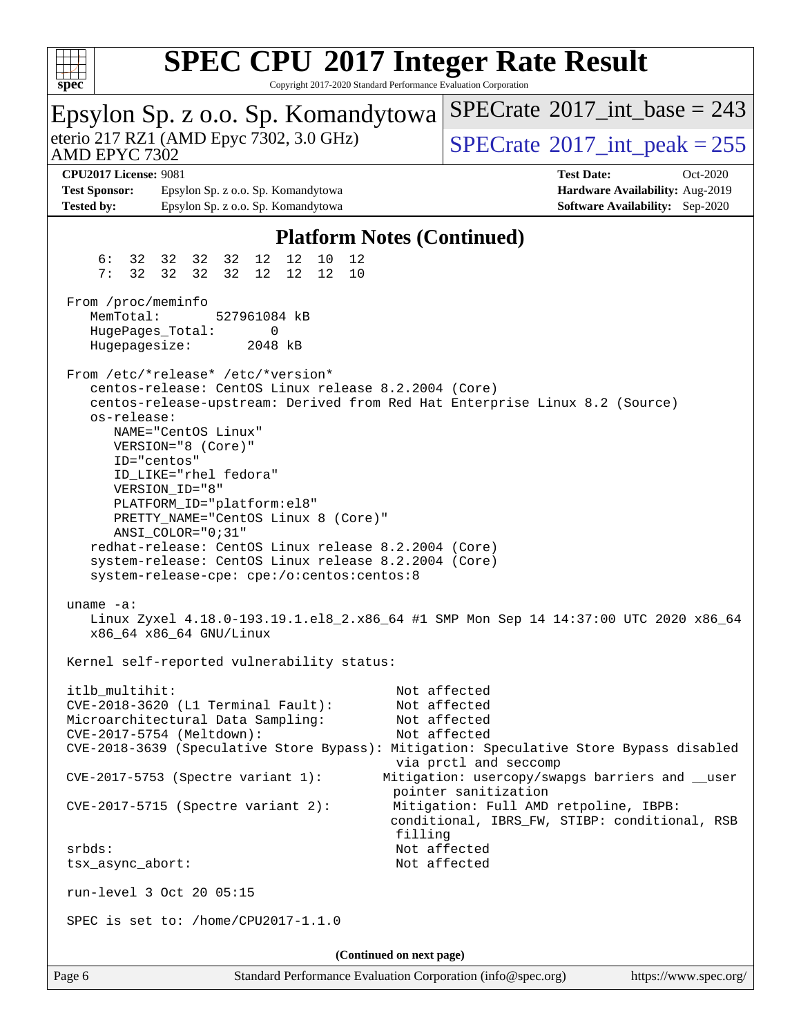

| Epsylon Sp. z o.o. Sp. Komandytowa                                                                                                                                                                                                                                                                                                                                                                                                                                                                                                                             | $SPECrate^{\circledast}2017$ int base = 243                                                                                              |  |  |  |  |
|----------------------------------------------------------------------------------------------------------------------------------------------------------------------------------------------------------------------------------------------------------------------------------------------------------------------------------------------------------------------------------------------------------------------------------------------------------------------------------------------------------------------------------------------------------------|------------------------------------------------------------------------------------------------------------------------------------------|--|--|--|--|
| eterio 217 RZ1 (AMD Epyc 7302, 3.0 GHz)<br>AMD EPYC 7302                                                                                                                                                                                                                                                                                                                                                                                                                                                                                                       | $SPECTate$ <sup>®</sup> 2017_int_peak = 255                                                                                              |  |  |  |  |
| <b>CPU2017 License: 9081</b>                                                                                                                                                                                                                                                                                                                                                                                                                                                                                                                                   | <b>Test Date:</b><br>Oct-2020                                                                                                            |  |  |  |  |
| <b>Test Sponsor:</b><br>Epsylon Sp. z o.o. Sp. Komandytowa                                                                                                                                                                                                                                                                                                                                                                                                                                                                                                     | Hardware Availability: Aug-2019                                                                                                          |  |  |  |  |
|                                                                                                                                                                                                                                                                                                                                                                                                                                                                                                                                                                |                                                                                                                                          |  |  |  |  |
| <b>Tested by:</b><br>Epsylon Sp. z o.o. Sp. Komandytowa                                                                                                                                                                                                                                                                                                                                                                                                                                                                                                        | <b>Software Availability:</b> Sep-2020                                                                                                   |  |  |  |  |
| <b>Platform Notes (Continued)</b>                                                                                                                                                                                                                                                                                                                                                                                                                                                                                                                              |                                                                                                                                          |  |  |  |  |
| 12<br>12<br>10<br>6 :<br>32 32 32 32<br>12<br>7:<br>32 32<br>12<br>12<br>32<br>32<br>12<br>10                                                                                                                                                                                                                                                                                                                                                                                                                                                                  |                                                                                                                                          |  |  |  |  |
| From /proc/meminfo<br>MemTotal:<br>527961084 kB<br>HugePages_Total:<br>0<br>Hugepagesize:<br>2048 kB                                                                                                                                                                                                                                                                                                                                                                                                                                                           |                                                                                                                                          |  |  |  |  |
| From /etc/*release* /etc/*version*<br>centos-release: CentOS Linux release 8.2.2004 (Core)<br>centos-release-upstream: Derived from Red Hat Enterprise Linux 8.2 (Source)<br>os-release:<br>NAME="CentOS Linux"<br>VERSION="8 (Core)"<br>ID="centos"<br>ID_LIKE="rhel fedora"<br>VERSION_ID="8"<br>PLATFORM_ID="platform:el8"<br>PRETTY_NAME="CentOS Linux 8 (Core)"<br>$ANSI$ _COLOR=" $0:31$ "<br>redhat-release: CentOS Linux release 8.2.2004 (Core)<br>system-release: CentOS Linux release 8.2.2004 (Core)<br>system-release-cpe: cpe:/o:centos:centos:8 |                                                                                                                                          |  |  |  |  |
| uname $-a$ :<br>Linux Zyxel 4.18.0-193.19.1.el8_2.x86_64 #1 SMP Mon Sep 14 14:37:00 UTC 2020 x86_64<br>x86_64 x86_64 GNU/Linux                                                                                                                                                                                                                                                                                                                                                                                                                                 |                                                                                                                                          |  |  |  |  |
| Kernel self-reported vulnerability status:                                                                                                                                                                                                                                                                                                                                                                                                                                                                                                                     |                                                                                                                                          |  |  |  |  |
| itlb_multihit:<br>CVE-2018-3620 (L1 Terminal Fault):<br>Microarchitectural Data Sampling:<br>CVE-2017-5754 (Meltdown):<br>CVE-2018-3639 (Speculative Store Bypass): Mitigation: Speculative Store Bypass disabled<br>CVE-2017-5753 (Spectre variant 1):                                                                                                                                                                                                                                                                                                        | Not affected<br>Not affected<br>Not affected<br>Not affected<br>via prctl and seccomp<br>Mitigation: usercopy/swapgs barriers and __user |  |  |  |  |
| $CVE-2017-5715$ (Spectre variant 2):                                                                                                                                                                                                                                                                                                                                                                                                                                                                                                                           | pointer sanitization<br>Mitigation: Full AMD retpoline, IBPB:<br>conditional, IBRS_FW, STIBP: conditional, RSB                           |  |  |  |  |
| filling<br>srbds:<br>tsx_async_abort:<br>run-level 3 Oct 20 05:15                                                                                                                                                                                                                                                                                                                                                                                                                                                                                              | Not affected<br>Not affected                                                                                                             |  |  |  |  |
| SPEC is set to: /home/CPU2017-1.1.0                                                                                                                                                                                                                                                                                                                                                                                                                                                                                                                            |                                                                                                                                          |  |  |  |  |
| (Continued on next page)                                                                                                                                                                                                                                                                                                                                                                                                                                                                                                                                       |                                                                                                                                          |  |  |  |  |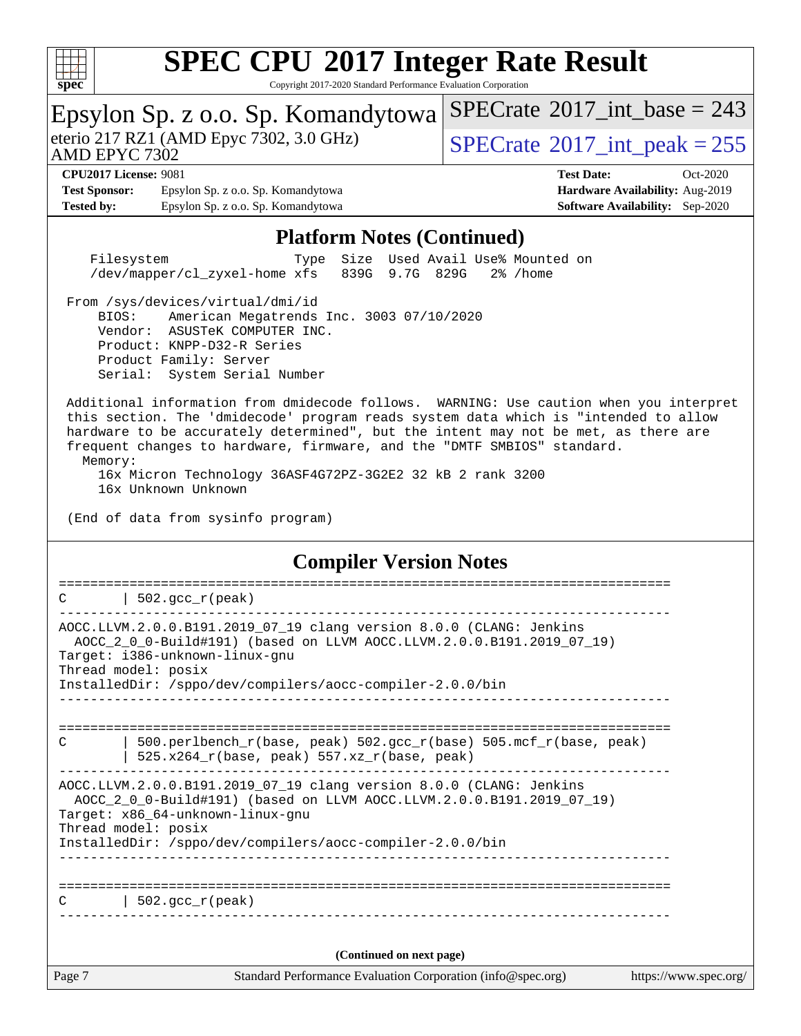

| Epsylon Sp. z o.o. Sp. Komandytowa                                                                                                                                                                                                                                                                                                                        | $SPECrate^{\circledast}2017$ int base = 243 |  |  |  |
|-----------------------------------------------------------------------------------------------------------------------------------------------------------------------------------------------------------------------------------------------------------------------------------------------------------------------------------------------------------|---------------------------------------------|--|--|--|
| eterio 217 RZ1 (AMD Epyc 7302, 3.0 GHz)<br>AMD EPYC 7302                                                                                                                                                                                                                                                                                                  | $SPECTate$ <sup>®</sup> 2017_int_peak = 255 |  |  |  |
| <b>CPU2017 License: 9081</b>                                                                                                                                                                                                                                                                                                                              | <b>Test Date:</b><br>$Oct-2020$             |  |  |  |
| <b>Test Sponsor:</b><br>Epsylon Sp. z o.o. Sp. Komandytowa                                                                                                                                                                                                                                                                                                | Hardware Availability: Aug-2019             |  |  |  |
| <b>Tested by:</b><br>Epsylon Sp. z o.o. Sp. Komandytowa                                                                                                                                                                                                                                                                                                   | <b>Software Availability:</b> Sep-2020      |  |  |  |
| <b>Platform Notes (Continued)</b>                                                                                                                                                                                                                                                                                                                         |                                             |  |  |  |
| Used Avail Use% Mounted on<br>Size<br>Filesystem<br>Type<br>/dev/mapper/cl_zyxel-home xfs<br>839G 9.7G 829G<br>2% /home                                                                                                                                                                                                                                   |                                             |  |  |  |
| From /sys/devices/virtual/dmi/id<br>American Megatrends Inc. 3003 07/10/2020<br>BIOS:<br>Vendor: ASUSTeK COMPUTER INC.<br>Product: KNPP-D32-R Series<br>Product Family: Server<br>Serial: System Serial Number                                                                                                                                            |                                             |  |  |  |
| Additional information from dmidecode follows. WARNING: Use caution when you interpret<br>this section. The 'dmidecode' program reads system data which is "intended to allow<br>hardware to be accurately determined", but the intent may not be met, as there are<br>frequent changes to hardware, firmware, and the "DMTF SMBIOS" standard.<br>Memory: |                                             |  |  |  |
| 16x Micron Technology 36ASF4G72PZ-3G2E2 32 kB 2 rank 3200<br>16x Unknown Unknown                                                                                                                                                                                                                                                                          |                                             |  |  |  |
| (End of data from sysinfo program)                                                                                                                                                                                                                                                                                                                        |                                             |  |  |  |
| <b>Compiler Version Notes</b>                                                                                                                                                                                                                                                                                                                             |                                             |  |  |  |
| =============================<br>502.gcc_r(peak)                                                                                                                                                                                                                                                                                                          |                                             |  |  |  |
| AOCC.LLVM.2.0.0.B191.2019_07_19 clang version 8.0.0 (CLANG: Jenkins<br>AOCC_2_0_0-Build#191) (based on LLVM AOCC.LLVM.2.0.0.B191.2019_07_19)<br>Target: i386-unknown-linux-gnu<br>Thread model: posix                                                                                                                                                     |                                             |  |  |  |
| InstalledDir: /sppo/dev/compilers/aocc-compiler-2.0.0/bin                                                                                                                                                                                                                                                                                                 |                                             |  |  |  |
|                                                                                                                                                                                                                                                                                                                                                           |                                             |  |  |  |
| 500.perlbench_r(base, peak) 502.gcc_r(base) 505.mcf_r(base, peak)<br>C<br>$525.x264_r(base, peak) 557.xz_r(base, peak)$                                                                                                                                                                                                                                   |                                             |  |  |  |
| AOCC.LLVM.2.0.0.B191.2019_07_19 clang version 8.0.0 (CLANG: Jenkins<br>AOCC_2_0_0-Build#191) (based on LLVM AOCC.LLVM.2.0.0.B191.2019_07_19)<br>Target: x86_64-unknown-linux-gnu<br>Thread model: posix<br>InstalledDir: /sppo/dev/compilers/aocc-compiler-2.0.0/bin                                                                                      |                                             |  |  |  |
|                                                                                                                                                                                                                                                                                                                                                           |                                             |  |  |  |
|                                                                                                                                                                                                                                                                                                                                                           |                                             |  |  |  |
| $  502.\text{gcc_r(peak)}$<br>C                                                                                                                                                                                                                                                                                                                           |                                             |  |  |  |
|                                                                                                                                                                                                                                                                                                                                                           |                                             |  |  |  |
|                                                                                                                                                                                                                                                                                                                                                           |                                             |  |  |  |
| (Continued on next page)                                                                                                                                                                                                                                                                                                                                  |                                             |  |  |  |
| Page 7<br>Standard Performance Evaluation Corporation (info@spec.org)                                                                                                                                                                                                                                                                                     | https://www.spec.org/                       |  |  |  |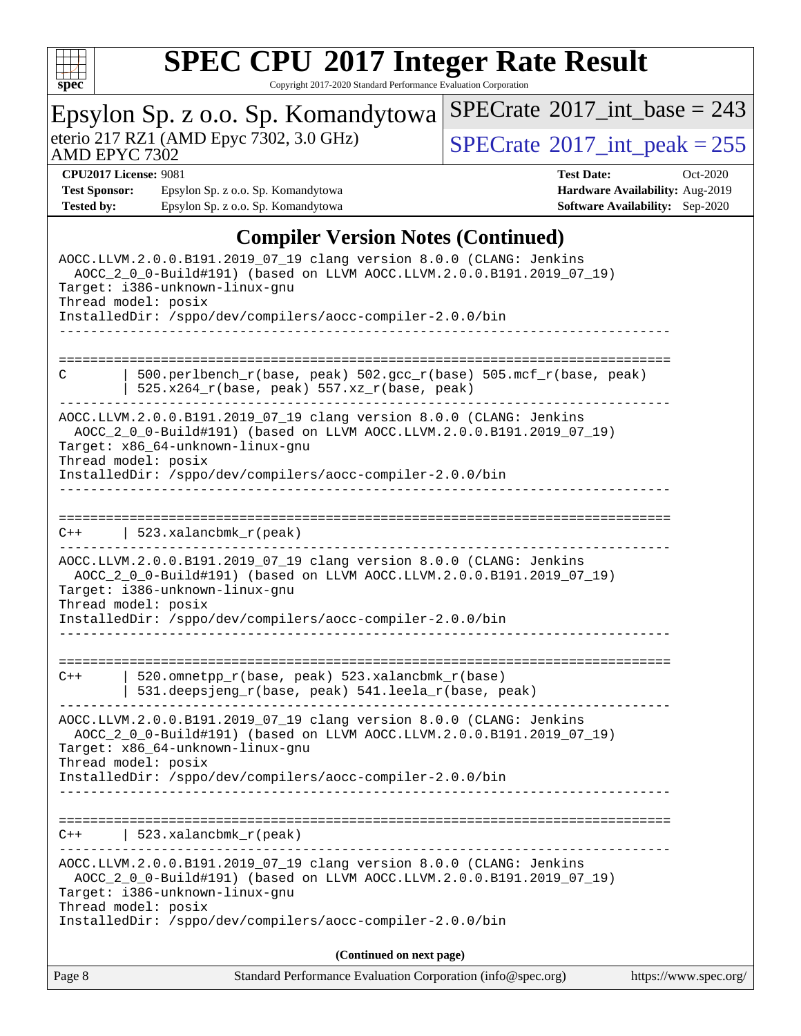

| Epsylon Sp. z o.o. Sp. Komandytowa<br>eterio 217 RZ1 (AMD Epyc 7302, 3.0 GHz)<br>AMD EPYC 7302          |                                                                                                                                              | $SPECrate^{\circ}2017\_int\_base = 243$     |                                        |  |  |  |
|---------------------------------------------------------------------------------------------------------|----------------------------------------------------------------------------------------------------------------------------------------------|---------------------------------------------|----------------------------------------|--|--|--|
|                                                                                                         |                                                                                                                                              | $SPECTate$ <sup>®</sup> 2017_int_peak = 255 |                                        |  |  |  |
| <b>CPU2017 License: 9081</b>                                                                            |                                                                                                                                              | <b>Test Date:</b>                           | Oct-2020                               |  |  |  |
| <b>Test Sponsor:</b>                                                                                    | Epsylon Sp. z o.o. Sp. Komandytowa                                                                                                           |                                             | Hardware Availability: Aug-2019        |  |  |  |
| <b>Tested by:</b>                                                                                       | Epsylon Sp. z o.o. Sp. Komandytowa                                                                                                           |                                             | <b>Software Availability:</b> Sep-2020 |  |  |  |
|                                                                                                         |                                                                                                                                              |                                             |                                        |  |  |  |
|                                                                                                         | <b>Compiler Version Notes (Continued)</b>                                                                                                    |                                             |                                        |  |  |  |
| AOCC.LLVM.2.0.0.B191.2019_07_19 clang version 8.0.0 (CLANG: Jenkins                                     |                                                                                                                                              |                                             |                                        |  |  |  |
| AOCC_2_0_0-Build#191) (based on LLVM AOCC.LLVM.2.0.0.B191.2019_07_19)<br>Target: i386-unknown-linux-gnu |                                                                                                                                              |                                             |                                        |  |  |  |
| Thread model: posix                                                                                     |                                                                                                                                              |                                             |                                        |  |  |  |
|                                                                                                         | InstalledDir: /sppo/dev/compilers/aocc-compiler-2.0.0/bin                                                                                    |                                             |                                        |  |  |  |
|                                                                                                         |                                                                                                                                              |                                             |                                        |  |  |  |
|                                                                                                         |                                                                                                                                              |                                             |                                        |  |  |  |
|                                                                                                         |                                                                                                                                              |                                             |                                        |  |  |  |
| C                                                                                                       | 500.perlbench_r(base, peak) 502.gcc_r(base) 505.mcf_r(base, peak)<br>$525.x264_r(base, peak) 557.xz_r(base, peak)$                           |                                             |                                        |  |  |  |
|                                                                                                         | AOCC.LLVM.2.0.0.B191.2019_07_19 clang version 8.0.0 (CLANG: Jenkins                                                                          |                                             |                                        |  |  |  |
|                                                                                                         | AOCC_2_0_0-Build#191) (based on LLVM AOCC.LLVM.2.0.0.B191.2019_07_19)                                                                        |                                             |                                        |  |  |  |
|                                                                                                         | Target: x86_64-unknown-linux-gnu                                                                                                             |                                             |                                        |  |  |  |
| Thread model: posix                                                                                     | InstalledDir: /sppo/dev/compilers/aocc-compiler-2.0.0/bin                                                                                    |                                             |                                        |  |  |  |
|                                                                                                         |                                                                                                                                              |                                             |                                        |  |  |  |
|                                                                                                         |                                                                                                                                              |                                             |                                        |  |  |  |
| $C++$                                                                                                   | 523.xalancbmk_r(peak)                                                                                                                        |                                             |                                        |  |  |  |
|                                                                                                         |                                                                                                                                              |                                             |                                        |  |  |  |
|                                                                                                         | AOCC.LLVM.2.0.0.B191.2019_07_19 clang version 8.0.0 (CLANG: Jenkins<br>AOCC_2_0_0-Build#191) (based on LLVM AOCC.LLVM.2.0.0.B191.2019_07_19) |                                             |                                        |  |  |  |
|                                                                                                         | Target: i386-unknown-linux-gnu                                                                                                               |                                             |                                        |  |  |  |
| Thread model: posix                                                                                     |                                                                                                                                              |                                             |                                        |  |  |  |
|                                                                                                         | InstalledDir: /sppo/dev/compilers/aocc-compiler-2.0.0/bin                                                                                    |                                             |                                        |  |  |  |
|                                                                                                         |                                                                                                                                              |                                             |                                        |  |  |  |
|                                                                                                         |                                                                                                                                              | --------------------------                  |                                        |  |  |  |
| $C++$                                                                                                   | 520.omnetpp_r(base, peak) 523.xalancbmk_r(base)<br>531.deepsjeng_r(base, peak) 541.leela_r(base, peak)                                       |                                             |                                        |  |  |  |
|                                                                                                         |                                                                                                                                              |                                             |                                        |  |  |  |
|                                                                                                         | AOCC.LLVM.2.0.0.B191.2019_07_19 clang version 8.0.0 (CLANG: Jenkins                                                                          |                                             |                                        |  |  |  |
|                                                                                                         | AOCC_2_0_0-Build#191) (based on LLVM AOCC.LLVM.2.0.0.B191.2019_07_19)                                                                        |                                             |                                        |  |  |  |
| Thread model: posix                                                                                     | Target: x86_64-unknown-linux-gnu                                                                                                             |                                             |                                        |  |  |  |
|                                                                                                         | InstalledDir: /sppo/dev/compilers/aocc-compiler-2.0.0/bin                                                                                    |                                             |                                        |  |  |  |
|                                                                                                         |                                                                                                                                              |                                             |                                        |  |  |  |
|                                                                                                         |                                                                                                                                              |                                             |                                        |  |  |  |
|                                                                                                         | $C++$   523.xalancbmk_r(peak)                                                                                                                |                                             |                                        |  |  |  |
|                                                                                                         |                                                                                                                                              |                                             |                                        |  |  |  |
|                                                                                                         | AOCC.LLVM.2.0.0.B191.2019_07_19 clang version 8.0.0 (CLANG: Jenkins                                                                          |                                             |                                        |  |  |  |
|                                                                                                         | AOCC_2_0_0-Build#191) (based on LLVM AOCC.LLVM.2.0.0.B191.2019_07_19)                                                                        |                                             |                                        |  |  |  |
| Target: i386-unknown-linux-gnu                                                                          |                                                                                                                                              |                                             |                                        |  |  |  |
| Thread model: posix                                                                                     |                                                                                                                                              |                                             |                                        |  |  |  |
|                                                                                                         | InstalledDir: /sppo/dev/compilers/aocc-compiler-2.0.0/bin                                                                                    |                                             |                                        |  |  |  |
|                                                                                                         | (Continued on next page)                                                                                                                     |                                             |                                        |  |  |  |
| Page 8                                                                                                  | Standard Performance Evaluation Corporation (info@spec.org)                                                                                  |                                             | https://www.spec.org/                  |  |  |  |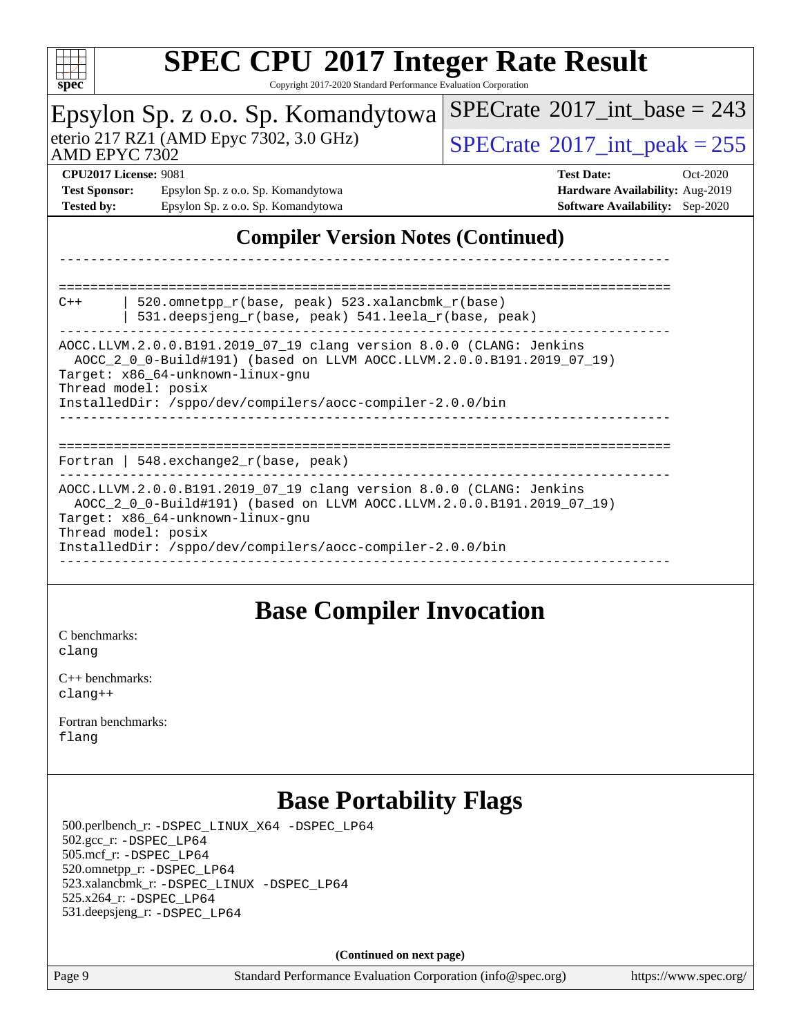

Copyright 2017-2020 Standard Performance Evaluation Corporation

| $_{\rm spec}$<br>Copyright 2017-2020 Standard Ferrormance Evaluation Corporation                                                                                                                                                                                     |                                                                                                              |  |  |  |  |  |
|----------------------------------------------------------------------------------------------------------------------------------------------------------------------------------------------------------------------------------------------------------------------|--------------------------------------------------------------------------------------------------------------|--|--|--|--|--|
| Epsylon Sp. z o.o. Sp. Komandytowa                                                                                                                                                                                                                                   | $SPECTate$ <sup>®</sup> 2017_int_base = 243                                                                  |  |  |  |  |  |
| eterio 217 RZ1 (AMD Epyc 7302, 3.0 GHz)<br>AMD EPYC 7302                                                                                                                                                                                                             | $SPECTate$ <sup>®</sup> 2017_int_peak = 255                                                                  |  |  |  |  |  |
| <b>CPU2017 License: 9081</b><br><b>Test Sponsor:</b><br>Epsylon Sp. z o.o. Sp. Komandytowa<br><b>Tested by:</b><br>Epsylon Sp. z o.o. Sp. Komandytowa                                                                                                                | <b>Test Date:</b><br>$Oct-2020$<br>Hardware Availability: Aug-2019<br><b>Software Availability:</b> Sep-2020 |  |  |  |  |  |
| <b>Compiler Version Notes (Continued)</b>                                                                                                                                                                                                                            |                                                                                                              |  |  |  |  |  |
|                                                                                                                                                                                                                                                                      |                                                                                                              |  |  |  |  |  |
| 520.omnetpp_r(base, peak) 523.xalancbmk_r(base)<br>$C++$<br>531.deepsjeng_r(base, peak) 541.leela_r(base, peak)                                                                                                                                                      |                                                                                                              |  |  |  |  |  |
| AOCC.LLVM.2.0.0.B191.2019_07_19 clang version 8.0.0 (CLANG: Jenkins<br>AOCC_2_0_0-Build#191) (based on LLVM AOCC.LLVM.2.0.0.B191.2019_07_19)<br>Target: x86 64-unknown-linux-gnu<br>Thread model: posix                                                              |                                                                                                              |  |  |  |  |  |
| InstalledDir: /sppo/dev/compilers/aocc-compiler-2.0.0/bin                                                                                                                                                                                                            | ================================                                                                             |  |  |  |  |  |
| Fortran   $548$ . exchange $2\lfloor r(\text{base}, \text{peak}) \rfloor$                                                                                                                                                                                            |                                                                                                              |  |  |  |  |  |
| AOCC.LLVM.2.0.0.B191.2019_07_19 clang version 8.0.0 (CLANG: Jenkins<br>AOCC_2_0_0-Build#191) (based on LLVM AOCC.LLVM.2.0.0.B191.2019_07_19)<br>Target: x86_64-unknown-linux-gnu<br>Thread model: posix<br>InstalledDir: /sppo/dev/compilers/aocc-compiler-2.0.0/bin |                                                                                                              |  |  |  |  |  |
|                                                                                                                                                                                                                                                                      |                                                                                                              |  |  |  |  |  |

#### **[Base Compiler Invocation](http://www.spec.org/auto/cpu2017/Docs/result-fields.html#BaseCompilerInvocation)**

[C benchmarks](http://www.spec.org/auto/cpu2017/Docs/result-fields.html#Cbenchmarks): [clang](http://www.spec.org/cpu2017/results/res2020q4/cpu2017-20201026-24258.flags.html#user_CCbase_clang-c)

[C++ benchmarks:](http://www.spec.org/auto/cpu2017/Docs/result-fields.html#CXXbenchmarks) [clang++](http://www.spec.org/cpu2017/results/res2020q4/cpu2017-20201026-24258.flags.html#user_CXXbase_clang-cpp)

[Fortran benchmarks](http://www.spec.org/auto/cpu2017/Docs/result-fields.html#Fortranbenchmarks): [flang](http://www.spec.org/cpu2017/results/res2020q4/cpu2017-20201026-24258.flags.html#user_FCbase_flang)

## **[Base Portability Flags](http://www.spec.org/auto/cpu2017/Docs/result-fields.html#BasePortabilityFlags)**

 500.perlbench\_r: [-DSPEC\\_LINUX\\_X64](http://www.spec.org/cpu2017/results/res2020q4/cpu2017-20201026-24258.flags.html#b500.perlbench_r_basePORTABILITY_DSPEC_LINUX_X64) [-DSPEC\\_LP64](http://www.spec.org/cpu2017/results/res2020q4/cpu2017-20201026-24258.flags.html#b500.perlbench_r_baseEXTRA_PORTABILITY_DSPEC_LP64) 502.gcc\_r: [-DSPEC\\_LP64](http://www.spec.org/cpu2017/results/res2020q4/cpu2017-20201026-24258.flags.html#suite_baseEXTRA_PORTABILITY502_gcc_r_DSPEC_LP64) 505.mcf\_r: [-DSPEC\\_LP64](http://www.spec.org/cpu2017/results/res2020q4/cpu2017-20201026-24258.flags.html#suite_baseEXTRA_PORTABILITY505_mcf_r_DSPEC_LP64) 520.omnetpp\_r: [-DSPEC\\_LP64](http://www.spec.org/cpu2017/results/res2020q4/cpu2017-20201026-24258.flags.html#suite_baseEXTRA_PORTABILITY520_omnetpp_r_DSPEC_LP64) 523.xalancbmk\_r: [-DSPEC\\_LINUX](http://www.spec.org/cpu2017/results/res2020q4/cpu2017-20201026-24258.flags.html#b523.xalancbmk_r_basePORTABILITY_DSPEC_LINUX) [-DSPEC\\_LP64](http://www.spec.org/cpu2017/results/res2020q4/cpu2017-20201026-24258.flags.html#suite_baseEXTRA_PORTABILITY523_xalancbmk_r_DSPEC_LP64) 525.x264\_r: [-DSPEC\\_LP64](http://www.spec.org/cpu2017/results/res2020q4/cpu2017-20201026-24258.flags.html#suite_baseEXTRA_PORTABILITY525_x264_r_DSPEC_LP64) 531.deepsjeng\_r: [-DSPEC\\_LP64](http://www.spec.org/cpu2017/results/res2020q4/cpu2017-20201026-24258.flags.html#suite_baseEXTRA_PORTABILITY531_deepsjeng_r_DSPEC_LP64)

**(Continued on next page)**

Page 9 Standard Performance Evaluation Corporation [\(info@spec.org\)](mailto:info@spec.org) <https://www.spec.org/>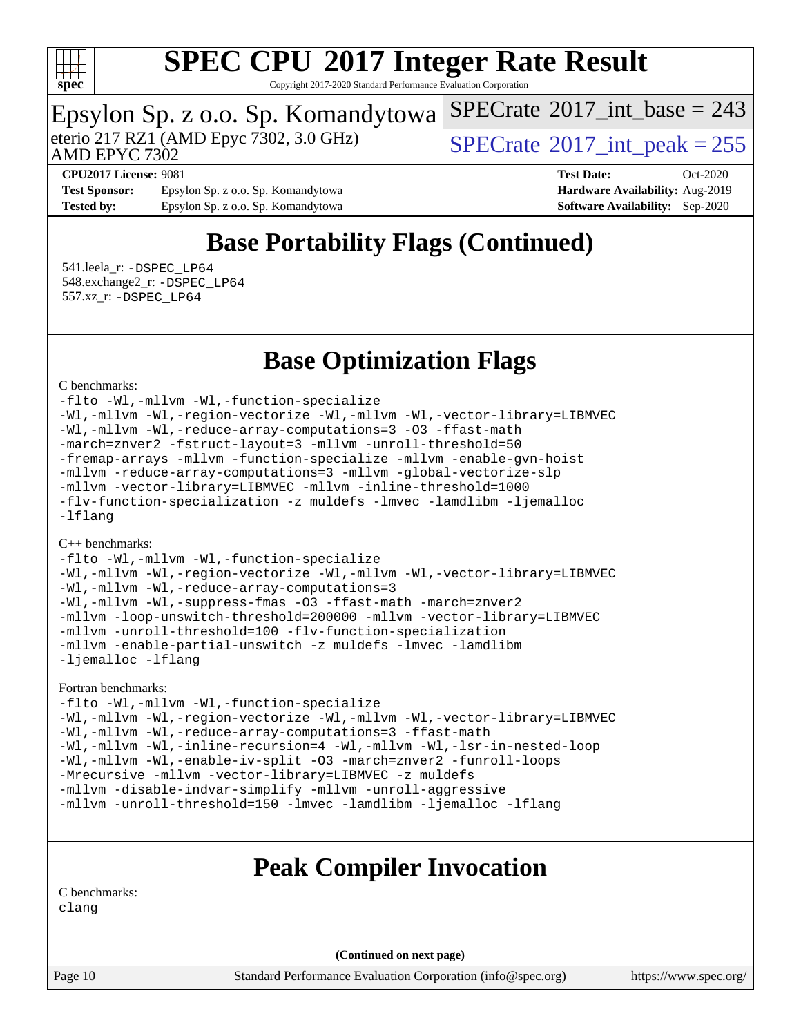

Copyright 2017-2020 Standard Performance Evaluation Corporation

# Epsylon Sp. z o.o. Sp. Komandytowa<br>eterio 217 RZ1 (AMD Epyc 7302, 3.0 GHz)

AMD EPYC 7302

 $SPECTate$ <sup>®</sup>[2017\\_int\\_peak = 2](http://www.spec.org/auto/cpu2017/Docs/result-fields.html#SPECrate2017intpeak)55

 $SPECTate$ <sup>®</sup>[2017\\_int\\_base =](http://www.spec.org/auto/cpu2017/Docs/result-fields.html#SPECrate2017intbase) 243

**[Test Sponsor:](http://www.spec.org/auto/cpu2017/Docs/result-fields.html#TestSponsor)** Epsylon Sp. z o.o. Sp. Komandytowa **[Hardware Availability:](http://www.spec.org/auto/cpu2017/Docs/result-fields.html#HardwareAvailability)** Aug-2019 **[Tested by:](http://www.spec.org/auto/cpu2017/Docs/result-fields.html#Testedby)** Epsylon Sp. z o.o. Sp. Komandytowa **[Software Availability:](http://www.spec.org/auto/cpu2017/Docs/result-fields.html#SoftwareAvailability)** Sep-2020

**[CPU2017 License:](http://www.spec.org/auto/cpu2017/Docs/result-fields.html#CPU2017License)** 9081 **[Test Date:](http://www.spec.org/auto/cpu2017/Docs/result-fields.html#TestDate)** Oct-2020

### **[Base Portability Flags \(Continued\)](http://www.spec.org/auto/cpu2017/Docs/result-fields.html#BasePortabilityFlags)**

 541.leela\_r: [-DSPEC\\_LP64](http://www.spec.org/cpu2017/results/res2020q4/cpu2017-20201026-24258.flags.html#suite_baseEXTRA_PORTABILITY541_leela_r_DSPEC_LP64) 548.exchange2\_r: [-DSPEC\\_LP64](http://www.spec.org/cpu2017/results/res2020q4/cpu2017-20201026-24258.flags.html#suite_baseEXTRA_PORTABILITY548_exchange2_r_DSPEC_LP64) 557.xz\_r: [-DSPEC\\_LP64](http://www.spec.org/cpu2017/results/res2020q4/cpu2017-20201026-24258.flags.html#suite_baseEXTRA_PORTABILITY557_xz_r_DSPEC_LP64)

#### **[Base Optimization Flags](http://www.spec.org/auto/cpu2017/Docs/result-fields.html#BaseOptimizationFlags)**

#### [C benchmarks](http://www.spec.org/auto/cpu2017/Docs/result-fields.html#Cbenchmarks):

[-flto](http://www.spec.org/cpu2017/results/res2020q4/cpu2017-20201026-24258.flags.html#user_CCbase_aocc-flto) [-Wl,-mllvm -Wl,-function-specialize](http://www.spec.org/cpu2017/results/res2020q4/cpu2017-20201026-24258.flags.html#user_CCbase_F-function-specialize_7e7e661e57922243ee67c9a1251cb8910e607325179a0ce7f2884e09a6f5d4a5ef0ae4f37e8a2a11c95fc48e931f06dc2b6016f14b511fcb441e048bef1b065a) [-Wl,-mllvm -Wl,-region-vectorize](http://www.spec.org/cpu2017/results/res2020q4/cpu2017-20201026-24258.flags.html#user_CCbase_F-region-vectorize_fb6c6b5aa293c88efc6c7c2b52b20755e943585b1fe8658c35afef78727fff56e1a56891413c30e36b8e2a6f9a71126986319243e80eb6110b78b288f533c52b) [-Wl,-mllvm -Wl,-vector-library=LIBMVEC](http://www.spec.org/cpu2017/results/res2020q4/cpu2017-20201026-24258.flags.html#user_CCbase_F-use-vector-library_0a14b27fae317f283640384a31f7bfcc2bd4c1d0b5cfc618a3a430800c9b20217b00f61303eff223a3251b4f06ffbc9739dc5296db9d1fbb9ad24a3939d86d66) [-Wl,-mllvm -Wl,-reduce-array-computations=3](http://www.spec.org/cpu2017/results/res2020q4/cpu2017-20201026-24258.flags.html#user_CCbase_F-reduce-array-computations_b882aefe7a5dda4e33149f6299762b9a720dace3e498e13756f4c04e5a19edf5315c1f3993de2e61ec41e8c206231f84e05da7040e1bb5d69ba27d10a12507e4) [-O3](http://www.spec.org/cpu2017/results/res2020q4/cpu2017-20201026-24258.flags.html#user_CCbase_F-O3) [-ffast-math](http://www.spec.org/cpu2017/results/res2020q4/cpu2017-20201026-24258.flags.html#user_CCbase_aocc-ffast-math) [-march=znver2](http://www.spec.org/cpu2017/results/res2020q4/cpu2017-20201026-24258.flags.html#user_CCbase_aocc-march_3e2e19cff2eeef60c5d90b059483627c9ea47eca6d66670dbd53f9185f6439e27eb5e104cf773e9e8ab18c8842ce63e461a3e948d0214bd567ef3ade411bf467) [-fstruct-layout=3](http://www.spec.org/cpu2017/results/res2020q4/cpu2017-20201026-24258.flags.html#user_CCbase_F-struct-layout) [-mllvm -unroll-threshold=50](http://www.spec.org/cpu2017/results/res2020q4/cpu2017-20201026-24258.flags.html#user_CCbase_F-unroll-threshold_458874500b2c105d6d5cb4d7a611c40e2b16e9e3d26b355fea72d644c3673b4de4b3932662f0ed3dbec75c491a13da2d2ca81180bd779dc531083ef1e1e549dc) [-fremap-arrays](http://www.spec.org/cpu2017/results/res2020q4/cpu2017-20201026-24258.flags.html#user_CCbase_F-fremap-arrays) [-mllvm -function-specialize](http://www.spec.org/cpu2017/results/res2020q4/cpu2017-20201026-24258.flags.html#user_CCbase_F-function-specialize_233b3bdba86027f1b094368157e481c5bc59f40286dc25bfadc1858dcd5745c24fd30d5f188710db7fea399bcc9f44a80b3ce3aacc70a8870250c3ae5e1f35b8) [-mllvm -enable-gvn-hoist](http://www.spec.org/cpu2017/results/res2020q4/cpu2017-20201026-24258.flags.html#user_CCbase_F-enable-gvn-hoist_e5856354646dd6ca1333a0ad99b817e4cf8932b91b82809fd8fd47ceff7b22a89eba5c98fd3e3fa5200368fd772cec3dd56abc3c8f7b655a71b9f9848dddedd5) [-mllvm -reduce-array-computations=3](http://www.spec.org/cpu2017/results/res2020q4/cpu2017-20201026-24258.flags.html#user_CCbase_F-reduce-array-computations_aceadb8604558b566e0e3a0d7a3c1533923dd1fa0889614e16288028922629a28d5695c24d3b3be4306b1e311c54317dfffe3a2e57fbcaabc737a1798de39145) [-mllvm -global-vectorize-slp](http://www.spec.org/cpu2017/results/res2020q4/cpu2017-20201026-24258.flags.html#user_CCbase_F-global-vectorize-slp_a3935e8627af4ced727033b1ffd4db27f4d541a363d28d82bf4c2925fb3a0fd4115d6e42d13a2829f9e024d6608eb67a85cb49770f2da5c5ac8dbc737afad603) [-mllvm -vector-library=LIBMVEC](http://www.spec.org/cpu2017/results/res2020q4/cpu2017-20201026-24258.flags.html#user_CCbase_F-use-vector-library_e584e20b4f7ec96aa109254b65d8e01d864f3d68580371b9d93ed7c338191d4cfce20c3c864632264effc6bbe4c7c38153d02096a342ee92501c4a53204a7871) [-mllvm -inline-threshold=1000](http://www.spec.org/cpu2017/results/res2020q4/cpu2017-20201026-24258.flags.html#user_CCbase_dragonegg-llvm-inline-threshold_b7832241b0a6397e4ecdbaf0eb7defdc10f885c2a282fa3240fdc99844d543fda39cf8a4a9dccf68cf19b5438ac3b455264f478df15da0f4988afa40d8243bab) [-flv-function-specialization](http://www.spec.org/cpu2017/results/res2020q4/cpu2017-20201026-24258.flags.html#user_CCbase_F-flv-function-specialization) [-z muldefs](http://www.spec.org/cpu2017/results/res2020q4/cpu2017-20201026-24258.flags.html#user_CCbase_aocc-muldefs) [-lmvec](http://www.spec.org/cpu2017/results/res2020q4/cpu2017-20201026-24258.flags.html#user_CCbase_F-lmvec) [-lamdlibm](http://www.spec.org/cpu2017/results/res2020q4/cpu2017-20201026-24258.flags.html#user_CCbase_F-lamdlibm) [-ljemalloc](http://www.spec.org/cpu2017/results/res2020q4/cpu2017-20201026-24258.flags.html#user_CCbase_jemalloc-lib) [-lflang](http://www.spec.org/cpu2017/results/res2020q4/cpu2017-20201026-24258.flags.html#user_CCbase_F-lflang)

#### [C++ benchmarks:](http://www.spec.org/auto/cpu2017/Docs/result-fields.html#CXXbenchmarks)

[-flto](http://www.spec.org/cpu2017/results/res2020q4/cpu2017-20201026-24258.flags.html#user_CXXbase_aocc-flto) [-Wl,-mllvm -Wl,-function-specialize](http://www.spec.org/cpu2017/results/res2020q4/cpu2017-20201026-24258.flags.html#user_CXXbase_F-function-specialize_7e7e661e57922243ee67c9a1251cb8910e607325179a0ce7f2884e09a6f5d4a5ef0ae4f37e8a2a11c95fc48e931f06dc2b6016f14b511fcb441e048bef1b065a) [-Wl,-mllvm -Wl,-region-vectorize](http://www.spec.org/cpu2017/results/res2020q4/cpu2017-20201026-24258.flags.html#user_CXXbase_F-region-vectorize_fb6c6b5aa293c88efc6c7c2b52b20755e943585b1fe8658c35afef78727fff56e1a56891413c30e36b8e2a6f9a71126986319243e80eb6110b78b288f533c52b) [-Wl,-mllvm -Wl,-vector-library=LIBMVEC](http://www.spec.org/cpu2017/results/res2020q4/cpu2017-20201026-24258.flags.html#user_CXXbase_F-use-vector-library_0a14b27fae317f283640384a31f7bfcc2bd4c1d0b5cfc618a3a430800c9b20217b00f61303eff223a3251b4f06ffbc9739dc5296db9d1fbb9ad24a3939d86d66) [-Wl,-mllvm -Wl,-reduce-array-computations=3](http://www.spec.org/cpu2017/results/res2020q4/cpu2017-20201026-24258.flags.html#user_CXXbase_F-reduce-array-computations_b882aefe7a5dda4e33149f6299762b9a720dace3e498e13756f4c04e5a19edf5315c1f3993de2e61ec41e8c206231f84e05da7040e1bb5d69ba27d10a12507e4) [-Wl,-mllvm -Wl,-suppress-fmas](http://www.spec.org/cpu2017/results/res2020q4/cpu2017-20201026-24258.flags.html#user_CXXbase_F-suppress-fmas_f00f00630e4a059e8af9c161e9bbf420bcf19890a7f99d5933525e66aa4b0bb3ab2339d2b12d97d3a5f5d271e839fe9c109938e91fe06230fb53651590cfa1e8) [-O3](http://www.spec.org/cpu2017/results/res2020q4/cpu2017-20201026-24258.flags.html#user_CXXbase_F-O3) [-ffast-math](http://www.spec.org/cpu2017/results/res2020q4/cpu2017-20201026-24258.flags.html#user_CXXbase_aocc-ffast-math) [-march=znver2](http://www.spec.org/cpu2017/results/res2020q4/cpu2017-20201026-24258.flags.html#user_CXXbase_aocc-march_3e2e19cff2eeef60c5d90b059483627c9ea47eca6d66670dbd53f9185f6439e27eb5e104cf773e9e8ab18c8842ce63e461a3e948d0214bd567ef3ade411bf467) [-mllvm -loop-unswitch-threshold=200000](http://www.spec.org/cpu2017/results/res2020q4/cpu2017-20201026-24258.flags.html#user_CXXbase_F-loop-unswitch-threshold_f9a82ae3270e55b5fbf79d0d96ee93606b73edbbe527d20b18b7bff1a3a146ad50cfc7454c5297978340ae9213029016a7d16221274d672d3f7f42ed25274e1d) [-mllvm -vector-library=LIBMVEC](http://www.spec.org/cpu2017/results/res2020q4/cpu2017-20201026-24258.flags.html#user_CXXbase_F-use-vector-library_e584e20b4f7ec96aa109254b65d8e01d864f3d68580371b9d93ed7c338191d4cfce20c3c864632264effc6bbe4c7c38153d02096a342ee92501c4a53204a7871) [-mllvm -unroll-threshold=100](http://www.spec.org/cpu2017/results/res2020q4/cpu2017-20201026-24258.flags.html#user_CXXbase_F-unroll-threshold_2755d0c78138845d361fa1543e3a063fffa198df9b3edf0cfb856bbc88a81e1769b12ac7a550c5d35197be55360db1a3f95a8d1304df999456cabf5120c45168) [-flv-function-specialization](http://www.spec.org/cpu2017/results/res2020q4/cpu2017-20201026-24258.flags.html#user_CXXbase_F-flv-function-specialization) [-mllvm -enable-partial-unswitch](http://www.spec.org/cpu2017/results/res2020q4/cpu2017-20201026-24258.flags.html#user_CXXbase_F-enable-partial-unswitch_6e1c33f981d77963b1eaf834973128a7f33ce3f8e27f54689656697a35e89dcc875281e0e6283d043e32f367dcb605ba0e307a92e830f7e326789fa6c61b35d3) [-z muldefs](http://www.spec.org/cpu2017/results/res2020q4/cpu2017-20201026-24258.flags.html#user_CXXbase_aocc-muldefs) [-lmvec](http://www.spec.org/cpu2017/results/res2020q4/cpu2017-20201026-24258.flags.html#user_CXXbase_F-lmvec) [-lamdlibm](http://www.spec.org/cpu2017/results/res2020q4/cpu2017-20201026-24258.flags.html#user_CXXbase_F-lamdlibm) [-ljemalloc](http://www.spec.org/cpu2017/results/res2020q4/cpu2017-20201026-24258.flags.html#user_CXXbase_jemalloc-lib) [-lflang](http://www.spec.org/cpu2017/results/res2020q4/cpu2017-20201026-24258.flags.html#user_CXXbase_F-lflang)

#### [Fortran benchmarks](http://www.spec.org/auto/cpu2017/Docs/result-fields.html#Fortranbenchmarks):

[-flto](http://www.spec.org/cpu2017/results/res2020q4/cpu2017-20201026-24258.flags.html#user_FCbase_aocc-flto) [-Wl,-mllvm -Wl,-function-specialize](http://www.spec.org/cpu2017/results/res2020q4/cpu2017-20201026-24258.flags.html#user_FCbase_F-function-specialize_7e7e661e57922243ee67c9a1251cb8910e607325179a0ce7f2884e09a6f5d4a5ef0ae4f37e8a2a11c95fc48e931f06dc2b6016f14b511fcb441e048bef1b065a) [-Wl,-mllvm -Wl,-region-vectorize](http://www.spec.org/cpu2017/results/res2020q4/cpu2017-20201026-24258.flags.html#user_FCbase_F-region-vectorize_fb6c6b5aa293c88efc6c7c2b52b20755e943585b1fe8658c35afef78727fff56e1a56891413c30e36b8e2a6f9a71126986319243e80eb6110b78b288f533c52b) [-Wl,-mllvm -Wl,-vector-library=LIBMVEC](http://www.spec.org/cpu2017/results/res2020q4/cpu2017-20201026-24258.flags.html#user_FCbase_F-use-vector-library_0a14b27fae317f283640384a31f7bfcc2bd4c1d0b5cfc618a3a430800c9b20217b00f61303eff223a3251b4f06ffbc9739dc5296db9d1fbb9ad24a3939d86d66) [-Wl,-mllvm -Wl,-reduce-array-computations=3](http://www.spec.org/cpu2017/results/res2020q4/cpu2017-20201026-24258.flags.html#user_FCbase_F-reduce-array-computations_b882aefe7a5dda4e33149f6299762b9a720dace3e498e13756f4c04e5a19edf5315c1f3993de2e61ec41e8c206231f84e05da7040e1bb5d69ba27d10a12507e4) [-ffast-math](http://www.spec.org/cpu2017/results/res2020q4/cpu2017-20201026-24258.flags.html#user_FCbase_aocc-ffast-math) [-Wl,-mllvm -Wl,-inline-recursion=4](http://www.spec.org/cpu2017/results/res2020q4/cpu2017-20201026-24258.flags.html#user_FCbase_F-inline-recursion) [-Wl,-mllvm -Wl,-lsr-in-nested-loop](http://www.spec.org/cpu2017/results/res2020q4/cpu2017-20201026-24258.flags.html#user_FCbase_F-lsr-in-nested-loop_de4bc7331d07d857538198a5cc9592bc905d78a18065d49b9acfd1f777ae9eca5716aaa3e0e674a48e2e5ec9dad184ee0c682635ad7eff4181b32ab748bf2f49) [-Wl,-mllvm -Wl,-enable-iv-split](http://www.spec.org/cpu2017/results/res2020q4/cpu2017-20201026-24258.flags.html#user_FCbase_F-enable-iv-split_efc18925ba63acc4bb74cb6e43d0987b7b3cf01924ad910e2a6edbbbd0f8b582e31f1ee7ccede3f08176ef2ad41c69507170fb32301bf478d45ceb38dfb89c5e) [-O3](http://www.spec.org/cpu2017/results/res2020q4/cpu2017-20201026-24258.flags.html#user_FCbase_F-O3) [-march=znver2](http://www.spec.org/cpu2017/results/res2020q4/cpu2017-20201026-24258.flags.html#user_FCbase_aocc-march_3e2e19cff2eeef60c5d90b059483627c9ea47eca6d66670dbd53f9185f6439e27eb5e104cf773e9e8ab18c8842ce63e461a3e948d0214bd567ef3ade411bf467) [-funroll-loops](http://www.spec.org/cpu2017/results/res2020q4/cpu2017-20201026-24258.flags.html#user_FCbase_aocc-unroll-loops) [-Mrecursive](http://www.spec.org/cpu2017/results/res2020q4/cpu2017-20201026-24258.flags.html#user_FCbase_F-mrecursive_20a145d63f12d5750a899e17d4450b5b8b40330a9bb4af13688ca650e6fb30857bbbe44fb35cdbb895df6e5b2769de0a0d7659f51ff17acfbef6febafec4023f) [-mllvm -vector-library=LIBMVEC](http://www.spec.org/cpu2017/results/res2020q4/cpu2017-20201026-24258.flags.html#user_FCbase_F-use-vector-library_e584e20b4f7ec96aa109254b65d8e01d864f3d68580371b9d93ed7c338191d4cfce20c3c864632264effc6bbe4c7c38153d02096a342ee92501c4a53204a7871) [-z muldefs](http://www.spec.org/cpu2017/results/res2020q4/cpu2017-20201026-24258.flags.html#user_FCbase_aocc-muldefs) [-mllvm -disable-indvar-simplify](http://www.spec.org/cpu2017/results/res2020q4/cpu2017-20201026-24258.flags.html#user_FCbase_F-disable-indvar-simplify_c8d861bf19eba5001219ab52ef051176e06bf3166017d5c1ce87aec66e795c6723d10bf23d5a91730d61ad4b3f566b39dd0a4d6e5b2af269ebae30428a1f3630) [-mllvm -unroll-aggressive](http://www.spec.org/cpu2017/results/res2020q4/cpu2017-20201026-24258.flags.html#user_FCbase_F-unroll-aggressive_a366db20af3fd871754361e6b05945ac700b8c3fc538cc6688c755ae5874c6da3d6f3bb6e8d93320d5094064830fdb2c06064831f0f08d916cd8f333e5dba6d9) [-mllvm -unroll-threshold=150](http://www.spec.org/cpu2017/results/res2020q4/cpu2017-20201026-24258.flags.html#user_FCbase_F-unroll-threshold_3352736ce55666ed13437f5f5fd6693920e68d4dfd26bba42492bb1c46b6d7692ff5ba7bd4d2ebdab48d140ca981a39154ff0664b4d322a66fc3d1aafa4d7ffe) [-lmvec](http://www.spec.org/cpu2017/results/res2020q4/cpu2017-20201026-24258.flags.html#user_FCbase_F-lmvec) [-lamdlibm](http://www.spec.org/cpu2017/results/res2020q4/cpu2017-20201026-24258.flags.html#user_FCbase_F-lamdlibm) [-ljemalloc](http://www.spec.org/cpu2017/results/res2020q4/cpu2017-20201026-24258.flags.html#user_FCbase_jemalloc-lib) [-lflang](http://www.spec.org/cpu2017/results/res2020q4/cpu2017-20201026-24258.flags.html#user_FCbase_F-lflang)

#### **[Peak Compiler Invocation](http://www.spec.org/auto/cpu2017/Docs/result-fields.html#PeakCompilerInvocation)**

[C benchmarks](http://www.spec.org/auto/cpu2017/Docs/result-fields.html#Cbenchmarks):

[clang](http://www.spec.org/cpu2017/results/res2020q4/cpu2017-20201026-24258.flags.html#user_CCpeak_clang-c)

**(Continued on next page)**

Page 10 Standard Performance Evaluation Corporation [\(info@spec.org\)](mailto:info@spec.org) <https://www.spec.org/>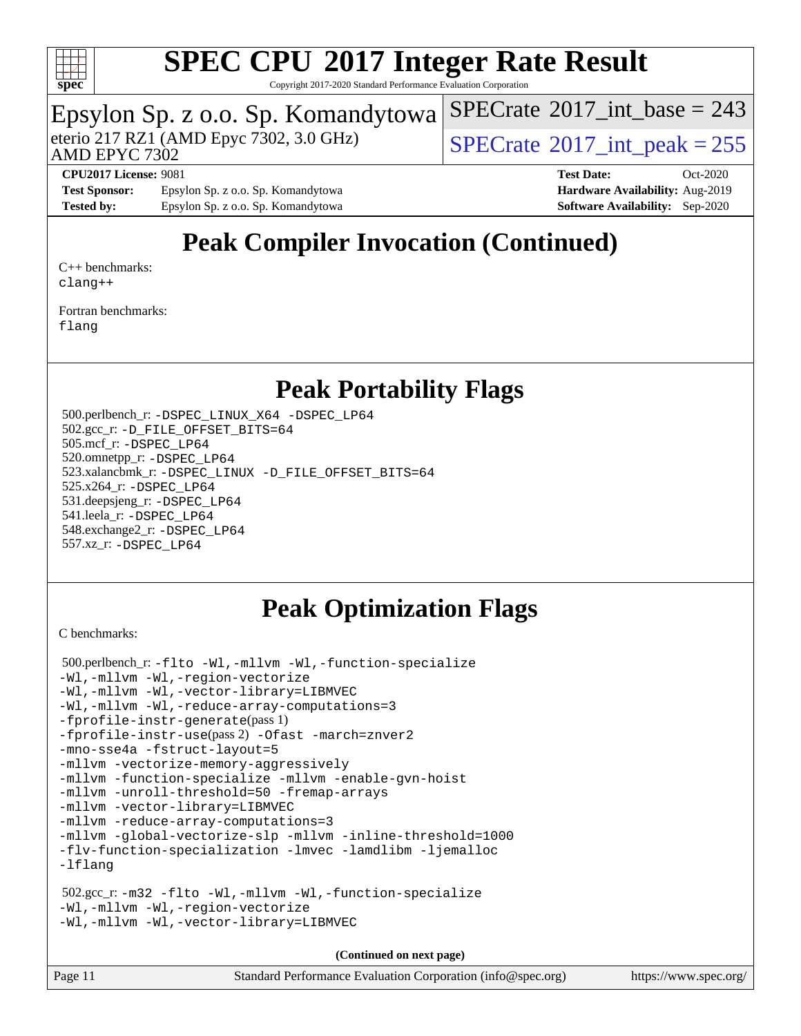

Copyright 2017-2020 Standard Performance Evaluation Corporation

### Epsylon Sp. z o.o. Sp. Komandytowa

AMD EPYC 7302

eterio 217 RZ1 (AMD Epyc 7302, 3.0 GHz)  $SPECTate^{\circ}2017$ \_int\_peak = 255

 $SPECTate$ <sup>®</sup>[2017\\_int\\_base =](http://www.spec.org/auto/cpu2017/Docs/result-fields.html#SPECrate2017intbase) 243

[Test Sponsor:](http://www.spec.org/auto/cpu2017/Docs/result-fields.html#TestSponsor) Epsylon Sp. z o.o. Sp. Komandytowa **[Hardware Availability:](http://www.spec.org/auto/cpu2017/Docs/result-fields.html#HardwareAvailability)** Aug-2019 **[Tested by:](http://www.spec.org/auto/cpu2017/Docs/result-fields.html#Testedby)** Epsylon Sp. z o.o. Sp. Komandytowa **[Software Availability:](http://www.spec.org/auto/cpu2017/Docs/result-fields.html#SoftwareAvailability)** Sep-2020

**[CPU2017 License:](http://www.spec.org/auto/cpu2017/Docs/result-fields.html#CPU2017License)** 9081 **[Test Date:](http://www.spec.org/auto/cpu2017/Docs/result-fields.html#TestDate)** Oct-2020

## **[Peak Compiler Invocation \(Continued\)](http://www.spec.org/auto/cpu2017/Docs/result-fields.html#PeakCompilerInvocation)**

[C++ benchmarks:](http://www.spec.org/auto/cpu2017/Docs/result-fields.html#CXXbenchmarks) [clang++](http://www.spec.org/cpu2017/results/res2020q4/cpu2017-20201026-24258.flags.html#user_CXXpeak_clang-cpp)

[Fortran benchmarks](http://www.spec.org/auto/cpu2017/Docs/result-fields.html#Fortranbenchmarks): [flang](http://www.spec.org/cpu2017/results/res2020q4/cpu2017-20201026-24258.flags.html#user_FCpeak_flang)

#### **[Peak Portability Flags](http://www.spec.org/auto/cpu2017/Docs/result-fields.html#PeakPortabilityFlags)**

 500.perlbench\_r: [-DSPEC\\_LINUX\\_X64](http://www.spec.org/cpu2017/results/res2020q4/cpu2017-20201026-24258.flags.html#b500.perlbench_r_peakPORTABILITY_DSPEC_LINUX_X64) [-DSPEC\\_LP64](http://www.spec.org/cpu2017/results/res2020q4/cpu2017-20201026-24258.flags.html#b500.perlbench_r_peakEXTRA_PORTABILITY_DSPEC_LP64) 502.gcc\_r: [-D\\_FILE\\_OFFSET\\_BITS=64](http://www.spec.org/cpu2017/results/res2020q4/cpu2017-20201026-24258.flags.html#user_peakEXTRA_PORTABILITY502_gcc_r_F-D_FILE_OFFSET_BITS_5ae949a99b284ddf4e95728d47cb0843d81b2eb0e18bdfe74bbf0f61d0b064f4bda2f10ea5eb90e1dcab0e84dbc592acfc5018bc955c18609f94ddb8d550002c) 505.mcf\_r: [-DSPEC\\_LP64](http://www.spec.org/cpu2017/results/res2020q4/cpu2017-20201026-24258.flags.html#suite_peakEXTRA_PORTABILITY505_mcf_r_DSPEC_LP64) 520.omnetpp\_r: [-DSPEC\\_LP64](http://www.spec.org/cpu2017/results/res2020q4/cpu2017-20201026-24258.flags.html#suite_peakEXTRA_PORTABILITY520_omnetpp_r_DSPEC_LP64) 523.xalancbmk\_r: [-DSPEC\\_LINUX](http://www.spec.org/cpu2017/results/res2020q4/cpu2017-20201026-24258.flags.html#b523.xalancbmk_r_peakPORTABILITY_DSPEC_LINUX) [-D\\_FILE\\_OFFSET\\_BITS=64](http://www.spec.org/cpu2017/results/res2020q4/cpu2017-20201026-24258.flags.html#user_peakEXTRA_PORTABILITY523_xalancbmk_r_F-D_FILE_OFFSET_BITS_5ae949a99b284ddf4e95728d47cb0843d81b2eb0e18bdfe74bbf0f61d0b064f4bda2f10ea5eb90e1dcab0e84dbc592acfc5018bc955c18609f94ddb8d550002c) 525.x264\_r: [-DSPEC\\_LP64](http://www.spec.org/cpu2017/results/res2020q4/cpu2017-20201026-24258.flags.html#suite_peakEXTRA_PORTABILITY525_x264_r_DSPEC_LP64) 531.deepsjeng\_r: [-DSPEC\\_LP64](http://www.spec.org/cpu2017/results/res2020q4/cpu2017-20201026-24258.flags.html#suite_peakEXTRA_PORTABILITY531_deepsjeng_r_DSPEC_LP64) 541.leela\_r: [-DSPEC\\_LP64](http://www.spec.org/cpu2017/results/res2020q4/cpu2017-20201026-24258.flags.html#suite_peakEXTRA_PORTABILITY541_leela_r_DSPEC_LP64) 548.exchange2\_r: [-DSPEC\\_LP64](http://www.spec.org/cpu2017/results/res2020q4/cpu2017-20201026-24258.flags.html#suite_peakEXTRA_PORTABILITY548_exchange2_r_DSPEC_LP64) 557.xz\_r: [-DSPEC\\_LP64](http://www.spec.org/cpu2017/results/res2020q4/cpu2017-20201026-24258.flags.html#suite_peakEXTRA_PORTABILITY557_xz_r_DSPEC_LP64)

#### **[Peak Optimization Flags](http://www.spec.org/auto/cpu2017/Docs/result-fields.html#PeakOptimizationFlags)**

[C benchmarks](http://www.spec.org/auto/cpu2017/Docs/result-fields.html#Cbenchmarks):

```
 500.perlbench_r: -flto -Wl,-mllvm -Wl,-function-specialize
-Wl,-mllvm -Wl,-region-vectorize
-Wl,-mllvm -Wl,-vector-library=LIBMVEC
-Wl,-mllvm -Wl,-reduce-array-computations=3
-fprofile-instr-generate(pass 1)
-fprofile-instr-use(pass 2) -Ofast -march=znver2
-mno-sse4a -fstruct-layout=5
-mllvm -vectorize-memory-aggressively
-mllvm -function-specialize -mllvm -enable-gvn-hoist
-mllvm -unroll-threshold=50 -fremap-arrays
-mllvm -vector-library=LIBMVEC
-mllvm -reduce-array-computations=3
-mllvm -global-vectorize-slp -mllvm -inline-threshold=1000
-flv-function-specialization -lmvec -lamdlibm -ljemalloc
-lflang
 502.gcc_r: -m32 -flto -Wl,-mllvm -Wl,-function-specialize
-Wl,-mllvm -Wl,-region-vectorize
-Wl,-mllvm -Wl,-vector-library=LIBMVEC
```
**(Continued on next page)**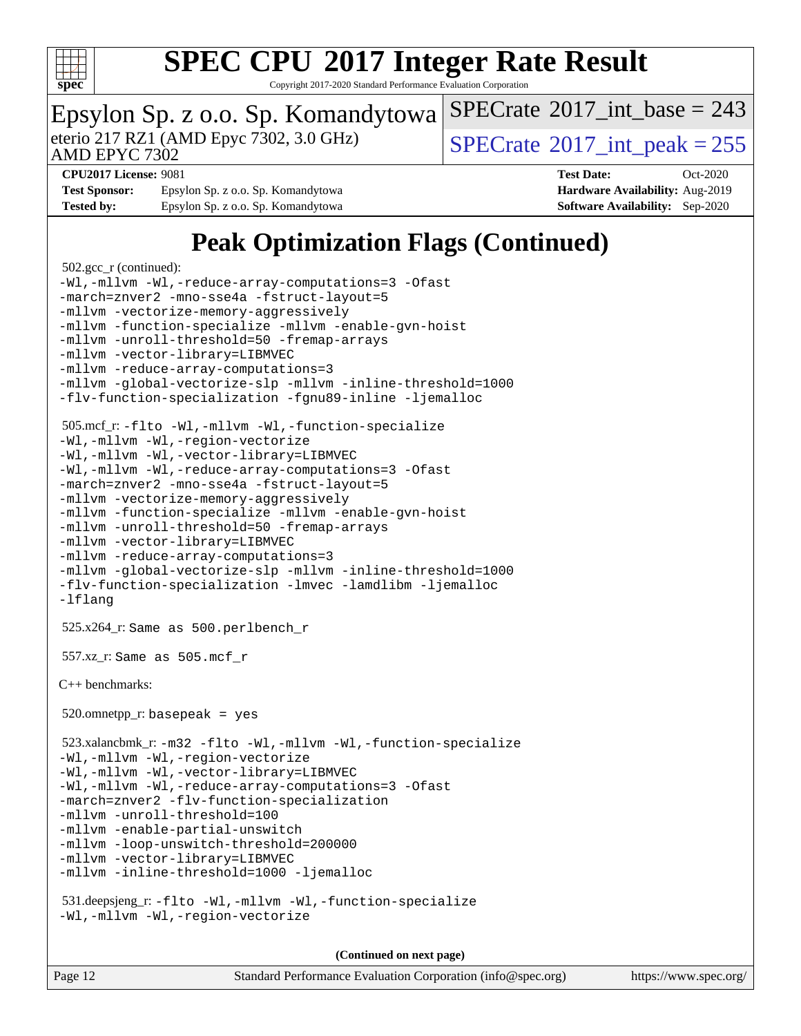

Copyright 2017-2020 Standard Performance Evaluation Corporation

### Epsylon Sp. z o.o. Sp. Komandytowa

AMD EPYC 7302

eterio 217 RZ1 (AMD Epyc 7302, 3.0 GHz)  $SPECTate^{\circ}2017$ \_int\_peak = 255

 $SPECTate$ <sup>®</sup>[2017\\_int\\_base =](http://www.spec.org/auto/cpu2017/Docs/result-fields.html#SPECrate2017intbase) 243

**[Test Sponsor:](http://www.spec.org/auto/cpu2017/Docs/result-fields.html#TestSponsor)** Epsylon Sp. z o.o. Sp. Komandytowa **[Hardware Availability:](http://www.spec.org/auto/cpu2017/Docs/result-fields.html#HardwareAvailability)** Aug-2019 **[Tested by:](http://www.spec.org/auto/cpu2017/Docs/result-fields.html#Testedby)** Epsylon Sp. z o.o. Sp. Komandytowa **[Software Availability:](http://www.spec.org/auto/cpu2017/Docs/result-fields.html#SoftwareAvailability)** Sep-2020

**[CPU2017 License:](http://www.spec.org/auto/cpu2017/Docs/result-fields.html#CPU2017License)** 9081 **[Test Date:](http://www.spec.org/auto/cpu2017/Docs/result-fields.html#TestDate)** Oct-2020

## **[Peak Optimization Flags \(Continued\)](http://www.spec.org/auto/cpu2017/Docs/result-fields.html#PeakOptimizationFlags)**

```
 502.gcc_r (continued):
-Wl,-mllvm -Wl,-reduce-array-computations=3 -Ofast
-march=znver2 -mno-sse4a -fstruct-layout=5
-mllvm -vectorize-memory-aggressively
-mllvm -function-specialize -mllvm -enable-gvn-hoist
-mllvm -unroll-threshold=50 -fremap-arrays
-mllvm -vector-library=LIBMVEC
-mllvm -reduce-array-computations=3
-mllvm -global-vectorize-slp -mllvm -inline-threshold=1000
-flv-function-specialization -fgnu89-inline -ljemalloc
 505.mcf_r: -flto -Wl,-mllvm -Wl,-function-specialize
-Wl,-mllvm -Wl,-region-vectorize
-Wl,-mllvm -Wl,-vector-library=LIBMVEC
-Wl,-mllvm -Wl,-reduce-array-computations=3 -Ofast
-march=znver2 -mno-sse4a -fstruct-layout=5
-mllvm -vectorize-memory-aggressively
-mllvm -function-specialize -mllvm -enable-gvn-hoist
-mllvm -unroll-threshold=50 -fremap-arrays
-mllvm -vector-library=LIBMVEC
-mllvm -reduce-array-computations=3
-mllvm -global-vectorize-slp -mllvm -inline-threshold=1000
-flv-function-specialization -lmvec -lamdlibm -ljemalloc
-lflang
 525.x264_r: Same as 500.perlbench_r
 557.xz_r: Same as 505.mcf_r
C++ benchmarks: 
520.omnetpp_r: basepeak = yes
 523.xalancbmk_r: -m32 -flto -Wl,-mllvm -Wl,-function-specialize
-Wl,-mllvm -Wl,-region-vectorize
-Wl,-mllvm -Wl,-vector-library=LIBMVEC
-Wl,-mllvm -Wl,-reduce-array-computations=3 -Ofast
-march=znver2 -flv-function-specialization
-mllvm -unroll-threshold=100
-mllvm -enable-partial-unswitch
-mllvm -loop-unswitch-threshold=200000
-mllvm -vector-library=LIBMVEC
-mllvm -inline-threshold=1000 -ljemalloc
 531.deepsjeng_r: -flto -Wl,-mllvm -Wl,-function-specialize
-Wl,-mllvm -Wl,-region-vectorize
```
**(Continued on next page)**